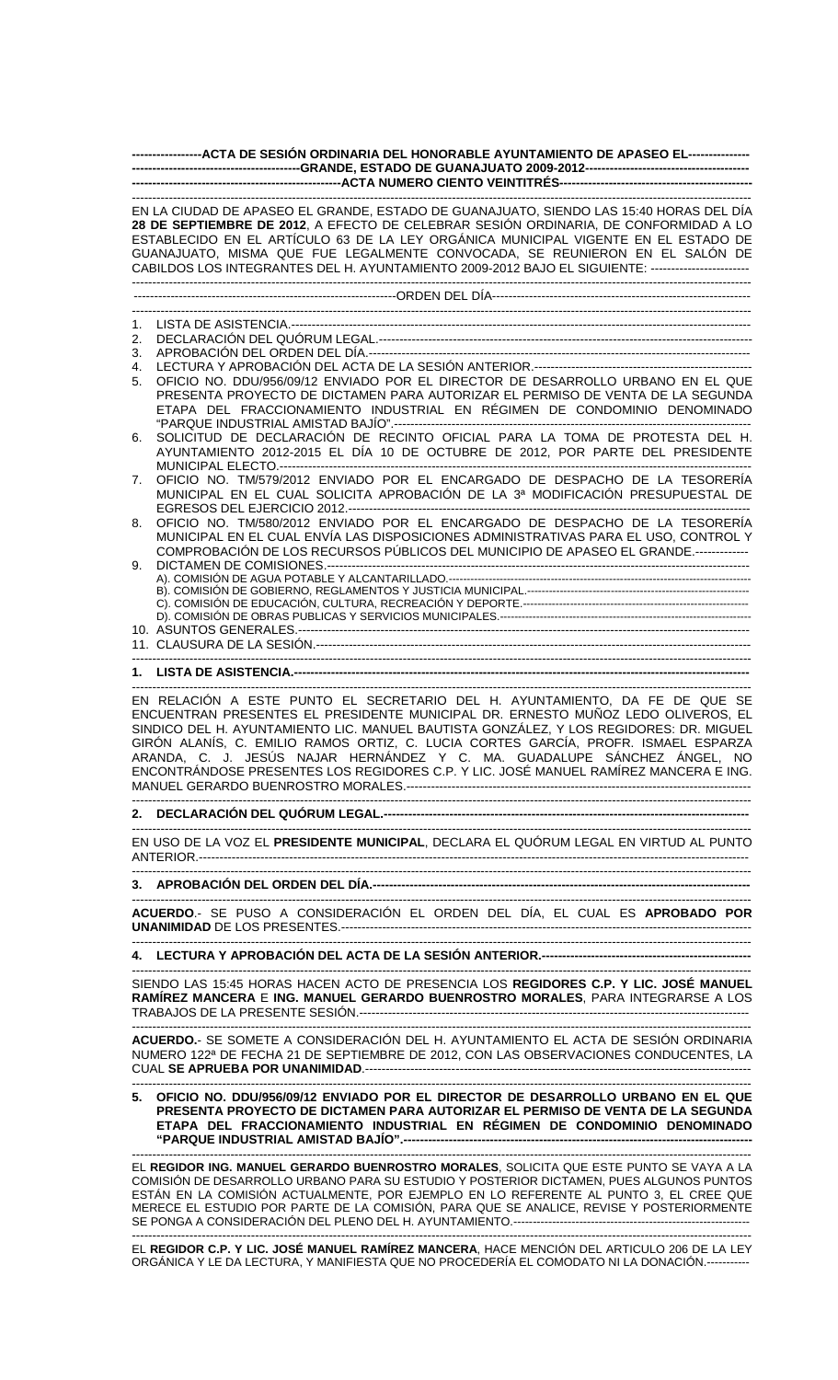| ------------------ACTA DE SESIÓN ORDINARIA DEL HONORABLE AYUNTAMIENTO DE APASEO EL---------------- |                                                                                                                                                                                                                                                                                                                                                                                                                                                                                                                     |  |
|----------------------------------------------------------------------------------------------------|---------------------------------------------------------------------------------------------------------------------------------------------------------------------------------------------------------------------------------------------------------------------------------------------------------------------------------------------------------------------------------------------------------------------------------------------------------------------------------------------------------------------|--|
|                                                                                                    |                                                                                                                                                                                                                                                                                                                                                                                                                                                                                                                     |  |
|                                                                                                    | EN LA CIUDAD DE APASEO EL GRANDE, ESTADO DE GUANAJUATO, SIENDO LAS 15:40 HORAS DEL DÍA<br>28 DE SEPTIEMBRE DE 2012, A EFECTO DE CELEBRAR SESIÓN ORDINARIA, DE CONFORMIDAD A LO<br>ESTABLECIDO EN EL ARTÍCULO 63 DE LA LEY ORGÁNICA MUNICIPAL VIGENTE EN EL ESTADO DE<br>GUANAJUATO, MISMA QUE FUE LEGALMENTE CONVOCADA, SE REUNIERON EN EL SALÓN DE<br>CABILDOS LOS INTEGRANTES DEL H. AYUNTAMIENTO 2009-2012 BAJO EL SIGUIENTE: ------------------------                                                           |  |
|                                                                                                    |                                                                                                                                                                                                                                                                                                                                                                                                                                                                                                                     |  |
|                                                                                                    |                                                                                                                                                                                                                                                                                                                                                                                                                                                                                                                     |  |
| 1.                                                                                                 |                                                                                                                                                                                                                                                                                                                                                                                                                                                                                                                     |  |
| 2.                                                                                                 |                                                                                                                                                                                                                                                                                                                                                                                                                                                                                                                     |  |
| 3.                                                                                                 |                                                                                                                                                                                                                                                                                                                                                                                                                                                                                                                     |  |
| 4.<br>5.                                                                                           | OFICIO NO. DDU/956/09/12 ENVIADO POR EL DIRECTOR DE DESARROLLO URBANO EN EL QUE<br>PRESENTA PROYECTO DE DICTAMEN PARA AUTORIZAR EL PERMISO DE VENTA DE LA SEGUNDA<br>ETAPA DEL FRACCIONAMIENTO INDUSTRIAL EN RÉGIMEN DE CONDOMINIO DENOMINADO                                                                                                                                                                                                                                                                       |  |
| 6.                                                                                                 | SOLICITUD DE DECLARACIÓN DE RECINTO OFICIAL PARA LA TOMA DE PROTESTA DEL H.<br>AYUNTAMIENTO 2012-2015 EL DÍA 10 DE OCTUBRE DE 2012, POR PARTE DEL PRESIDENTE                                                                                                                                                                                                                                                                                                                                                        |  |
| 7.                                                                                                 | OFICIO NO. TM/579/2012 ENVIADO POR EL ENCARGADO DE DESPACHO DE LA TESORERÍA<br>MUNICIPAL EN EL CUAL SOLICITA APROBACIÓN DE LA 3ª MODIFICACIÓN PRESUPUESTAL DE                                                                                                                                                                                                                                                                                                                                                       |  |
| 8.                                                                                                 | OFICIO NO. TM/580/2012 ENVIADO POR EL ENCARGADO DE DESPACHO DE LA TESORERÍA<br>MUNICIPAL EN EL CUAL ENVÍA LAS DISPOSICIONES ADMINISTRATIVAS PARA EL USO, CONTROL Y                                                                                                                                                                                                                                                                                                                                                  |  |
| 9.                                                                                                 | COMPROBACIÓN DE LOS RECURSOS PÚBLICOS DEL MUNICIPIO DE APASEO EL GRANDE.-------------                                                                                                                                                                                                                                                                                                                                                                                                                               |  |
|                                                                                                    |                                                                                                                                                                                                                                                                                                                                                                                                                                                                                                                     |  |
|                                                                                                    |                                                                                                                                                                                                                                                                                                                                                                                                                                                                                                                     |  |
|                                                                                                    |                                                                                                                                                                                                                                                                                                                                                                                                                                                                                                                     |  |
|                                                                                                    |                                                                                                                                                                                                                                                                                                                                                                                                                                                                                                                     |  |
|                                                                                                    |                                                                                                                                                                                                                                                                                                                                                                                                                                                                                                                     |  |
|                                                                                                    |                                                                                                                                                                                                                                                                                                                                                                                                                                                                                                                     |  |
|                                                                                                    |                                                                                                                                                                                                                                                                                                                                                                                                                                                                                                                     |  |
|                                                                                                    | EN RELACIÓN A ESTE PUNTO EL SECRETARIO DEL H. AYUNTAMIENTO, DA FE DE QUE SE<br>ENCUENTRAN PRESENTES EL PRESIDENTE MUNICIPAL DR. ERNESTO MUÑOZ LEDO OLIVEROS, EL<br>SINDICO DEL H. AYUNTAMIENTO LIC. MANUEL BAUTISTA GONZÁLEZ, Y LOS REGIDORES: DR. MIGUEL<br>GIRÓN ALANÍS, C. EMILIO RAMOS ORTIZ, C. LUCIA CORTES GARCÍA, PROFR. ISMAEL ESPARZA<br>ARANDA, C. J. JESÚS NAJAR HERNÁNDEZ Y C. MA. GUADALUPE SÁNCHEZ ÁNGEL, NO<br>ENCONTRÁNDOSE PRESENTES LOS REGIDORES C.P. Y LIC. JOSÉ MANUEL RAMÍREZ MANCERA E ING. |  |
|                                                                                                    |                                                                                                                                                                                                                                                                                                                                                                                                                                                                                                                     |  |
|                                                                                                    |                                                                                                                                                                                                                                                                                                                                                                                                                                                                                                                     |  |
|                                                                                                    | EN USO DE LA VOZ EL PRESIDENTE MUNICIPAL, DECLARA EL QUÓRUM LEGAL EN VIRTUD AL PUNTO                                                                                                                                                                                                                                                                                                                                                                                                                                |  |
|                                                                                                    |                                                                                                                                                                                                                                                                                                                                                                                                                                                                                                                     |  |
|                                                                                                    | ACUERDO.- SE PUSO A CONSIDERACIÓN EL ORDEN DEL DÍA, EL CUAL ES APROBADO POR                                                                                                                                                                                                                                                                                                                                                                                                                                         |  |
|                                                                                                    |                                                                                                                                                                                                                                                                                                                                                                                                                                                                                                                     |  |
|                                                                                                    | SIENDO LAS 15:45 HORAS HACEN ACTO DE PRESENCIA LOS REGIDORES C.P. Y LIC. JOSÉ MANUEL<br>RAMÍREZ MANCERA E ING. MANUEL GERARDO BUENROSTRO MORALES, PARA INTEGRARSE A LOS                                                                                                                                                                                                                                                                                                                                             |  |
|                                                                                                    | ACUERDO.- SE SOMETE A CONSIDERACIÓN DEL H. AYUNTAMIENTO EL ACTA DE SESIÓN ORDINARIA<br>NUMERO 122ª DE FECHA 21 DE SEPTIEMBRE DE 2012, CON LAS OBSERVACIONES CONDUCENTES, LA                                                                                                                                                                                                                                                                                                                                         |  |
|                                                                                                    | 5. OFICIO NO. DDU/956/09/12 ENVIADO POR EL DIRECTOR DE DESARROLLO URBANO EN EL QUE<br>PRESENTA PROYECTO DE DICTAMEN PARA AUTORIZAR EL PERMISO DE VENTA DE LA SEGUNDA<br>ETAPA DEL FRACCIONAMIENTO INDUSTRIAL EN RÉGIMEN DE CONDOMINIO DENOMINADO                                                                                                                                                                                                                                                                    |  |
|                                                                                                    | EL REGIDOR ING. MANUEL GERARDO BUENROSTRO MORALES, SOLICITA QUE ESTE PUNTO SE VAYA A LA                                                                                                                                                                                                                                                                                                                                                                                                                             |  |
|                                                                                                    | COMISIÓN DE DESARROLLO URBANO PARA SU ESTUDIO Y POSTERIOR DICTAMEN, PUES ALGUNOS PUNTOS<br>ESTÁN EN LA COMISIÓN ACTUALMENTE, POR EJEMPLO EN LO REFERENTE AL PUNTO 3, EL CREE QUE                                                                                                                                                                                                                                                                                                                                    |  |

MERECE EL ESTUDIO POR PARTE DE LA COMISIÓN, PARA QUE SE ANALICE, REVISE Y POSTERIORMENTE SE PONGA A CONSIDERACIÓN DEL PLENO DEL H. AYUNTAMIENTO.------------------------------------------------------------- -------------------------------------------------------------------------------------------------------------------------------------------------------

EL **REGIDOR C.P. Y LIC. JOSÉ MANUEL RAMÍREZ MANCERA**, HACE MENCIÓN DEL ARTICULO 206 DE LA LEY ORGÁNICA Y LE DA LECTURA, Y MANIFIESTA QUE NO PROCEDERÍA EL COMODATO NI LA DONACIÓN.-----------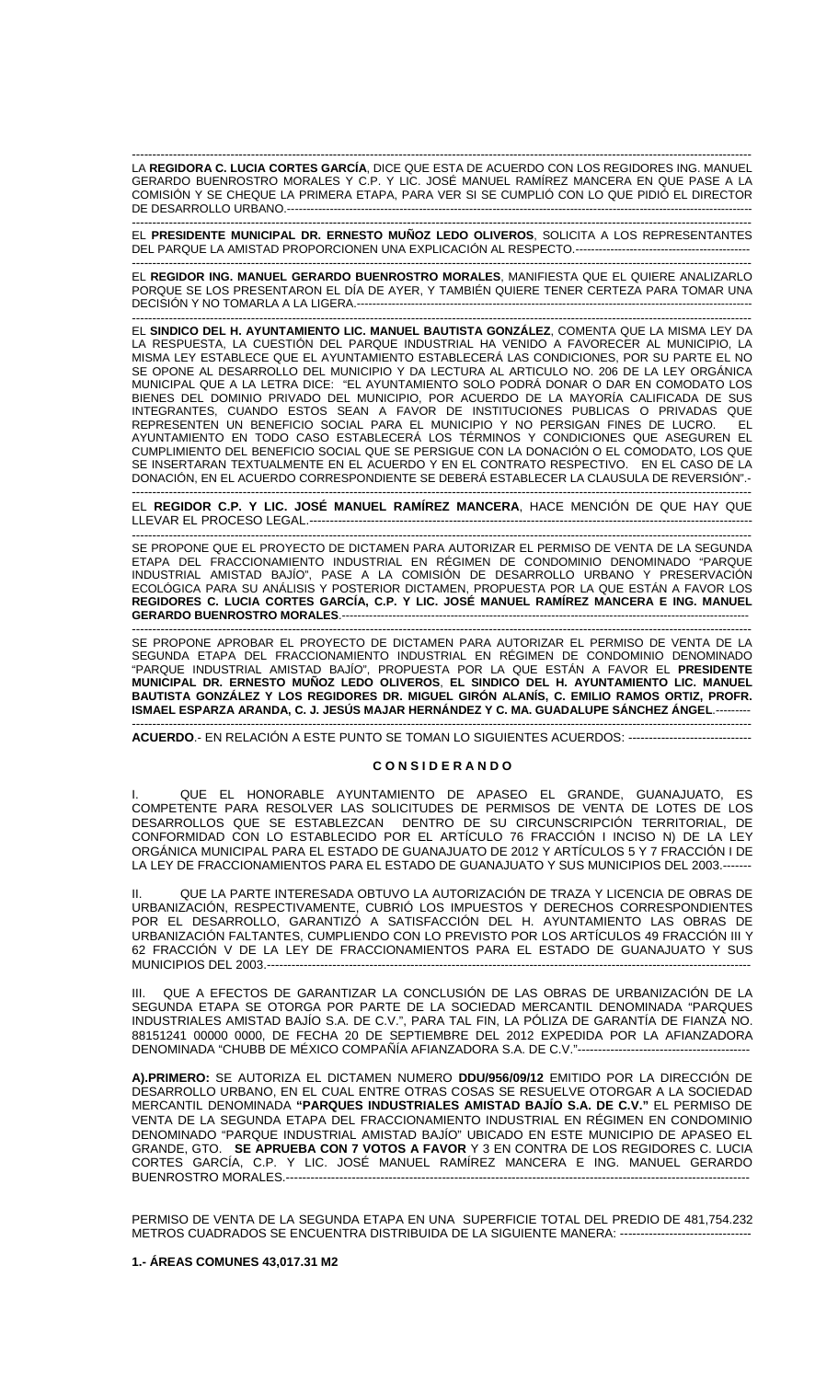------------------------------------------------------------------------------------------------------------------------------------------------------- LA **REGIDORA C. LUCIA CORTES GARCÍA**, DICE QUE ESTA DE ACUERDO CON LOS REGIDORES ING. MANUEL GERARDO BUENROSTRO MORALES Y C.P. Y LIC. JOSÉ MANUEL RAMÍREZ MANCERA EN QUE PASE A LA COMISIÓN Y SE CHEQUE LA PRIMERA ETAPA, PARA VER SI SE CUMPLIÓ CON LO QUE PIDIÓ EL DIRECTOR DE DESARROLLO URBANO.----------------------------------

------------------------------------------------------------------------------------------------------------------------------------------------------- EL **PRESIDENTE MUNICIPAL DR. ERNESTO MUÑOZ LEDO OLIVEROS**, SOLICITA A LOS REPRESENTANTES DEL PARQUE LA AMISTAD PROPORCIONEN UNA EXPLICACIÓN AL RESPECTO.---------------------------------------------

------------------------------------------------------------------------------------------------------------------------------------------------------- EL **REGIDOR ING. MANUEL GERARDO BUENROSTRO MORALES**, MANIFIESTA QUE EL QUIERE ANALIZARLO PORQUE SE LOS PRESENTARON EL DÍA DE AYER, Y TAMBIÉN QUIERE TENER CERTEZA PARA TOMAR UNA DECISIÓN Y NO TOMARLA A LA LIGERA.------------------------------------------------------------------------------------------------------

------------------------------------------------------------------------------------------------------------------------------------------------------- EL **SINDICO DEL H. AYUNTAMIENTO LIC. MANUEL BAUTISTA GONZÁLEZ**, COMENTA QUE LA MISMA LEY DA LA RESPUESTA, LA CUESTIÓN DEL PARQUE INDUSTRIAL HA VENIDO A FAVORECER AL MUNICIPIO, LA MISMA LEY ESTABLECE QUE EL AYUNTAMIENTO ESTABLECERÁ LAS CONDICIONES, POR SU PARTE EL NO SE OPONE AL DESARROLLO DEL MUNICIPIO Y DA LECTURA AL ARTICULO NO. 206 DE LA LEY ORGÁNICA MUNICIPAL QUE A LA LETRA DICE: "EL AYUNTAMIENTO SOLO PODRÁ DONAR O DAR EN COMODATO LOS BIENES DEL DOMINIO PRIVADO DEL MUNICIPIO, POR ACUERDO DE LA MAYORÍA CALIFICADA DE SUS INTEGRANTES, CUANDO ESTOS SEAN A FAVOR DE INSTITUCIONES PUBLICAS O PRIVADAS QUE REPRESENTEN UN BENEFICIO SOCIAL PARA EL MUNICIPIO Y NO PERSIGAN FINES DE LUCRO. EL AYUNTAMIENTO EN TODO CASO ESTABLECERÁ LOS TÉRMINOS Y CONDICIONES QUE ASEGUREN EL CUMPLIMIENTO DEL BENEFICIO SOCIAL QUE SE PERSIGUE CON LA DONACIÓN O EL COMODATO, LOS QUE SE INSERTARAN TEXTUALMENTE EN EL ACUERDO Y EN EL CONTRATO RESPECTIVO. EN EL CASO DE LA DONACIÓN, EN EL ACUERDO CORRESPONDIENTE SE DEBERÁ ESTABLECER LA CLAUSULA DE REVERSIÓN".-

------------------------------------------------------------------------------------------------------------------------------------------------------- EL **REGIDOR C.P. Y LIC. JOSÉ MANUEL RAMÍREZ MANCERA**, HACE MENCIÓN DE QUE HAY QUE LLEVAR EL PROCESO LEGAL...

------------------------------------------------------------------------------------------------------------------------------------------------------- SE PROPONE QUE EL PROYECTO DE DICTAMEN PARA AUTORIZAR EL PERMISO DE VENTA DE LA SEGUNDA ETAPA DEL FRACCIONAMIENTO INDUSTRIAL EN RÉGIMEN DE CONDOMINIO DENOMINADO "PARQUE INDUSTRIAL AMISTAD BAJÍO", PASE A LA COMISIÓN DE DESARROLLO URBANO Y PRESERVACIÓN ECOLÓGICA PARA SU ANÁLISIS Y POSTERIOR DICTAMEN, PROPUESTA POR LA QUE ESTÁN A FAVOR LOS **REGIDORES C. LUCIA CORTES GARCÍA, C.P. Y LIC. JOSÉ MANUEL RAMÍREZ MANCERA E ING. MANUEL GERARDO BUENROSTRO MORALES.---------------**

------------------------------------------------------------------------------------------------------------------------------------------------------- SE PROPONE APROBAR EL PROYECTO DE DICTAMEN PARA AUTORIZAR EL PERMISO DE VENTA DE LA SEGUNDA ETAPA DEL FRACCIONAMIENTO INDUSTRIAL EN RÉGIMEN DE CONDOMINIO DENOMINADO "PARQUE INDUSTRIAL AMISTAD BAJÍO", PROPUESTA POR LA QUE ESTÁN A FAVOR EL **PRESIDENTE MUNICIPAL DR. ERNESTO MUÑOZ LEDO OLIVEROS**, **EL SINDICO DEL H. AYUNTAMIENTO LIC. MANUEL**  BAUTISTA GONZALEZ Y LOS REGIDORES DR. MIGUEL GIRON ALANIS, C. EMILIO RAMOS ORTIZ, PROFR. **ISMAEL ESPARZA ARANDA, C. J. JESÚS MAJAR HERNÁNDEZ Y C. MA. GUADALUPE SÁNCHEZ ÁNGEL**.---------

------------------------------------------------------------------------------------------------------------------------------------------------------- **ACUERDO**.- EN RELACIÓN A ESTE PUNTO SE TOMAN LO SIGUIENTES ACUERDOS: ------------------------------

### **C O N S I D E R A N D O**

QUE EL HONORABLE AYUNTAMIENTO DE APASEO EL GRANDE, GUANAJUATO, ES COMPETENTE PARA RESOLVER LAS SOLICITUDES DE PERMISOS DE VENTA DE LOTES DE LOS DESARROLLOS QUE SE ESTABLEZCAN DENTRO DE SU CIRCUNSCRIPCIÓN TERRITORIAL, DE CONFORMIDAD CON LO ESTABLECIDO POR EL ARTÍCULO 76 FRACCIÓN I INCISO N) DE LA LEY ORGÁNICA MUNICIPAL PARA EL ESTADO DE GUANAJUATO DE 2012 Y ARTÍCULOS 5 Y 7 FRACCIÓN I DE LA LEY DE FRACCIONAMIENTOS PARA EL ESTADO DE GUANAJUATO Y SUS MUNICIPIOS DEL 2003.--

II. QUE LA PARTE INTERESADA OBTUVO LA AUTORIZACIÓN DE TRAZA Y LICENCIA DE OBRAS DE URBANIZACIÓN, RESPECTIVAMENTE, CUBRIÓ LOS IMPUESTOS Y DERECHOS CORRESPONDIENTES POR EL DESARROLLO, GARANTIZÓ A SATISFACCIÓN DEL H. AYUNTAMIENTO LAS OBRAS DE URBANIZACIÓN FALTANTES, CUMPLIENDO CON LO PREVISTO POR LOS ARTÍCULOS 49 FRACCIÓN III Y 62 FRACCIÓN V DE LA LEY DE FRACCIONAMIENTOS PARA EL ESTADO DE GUANAJUATO Y SUS MUNICIPIOS DEL 2003.--

QUE A EFECTOS DE GARANTIZAR LA CONCLUSIÓN DE LAS OBRAS DE URBANIZACIÓN DE LA SEGUNDA ETAPA SE OTORGA POR PARTE DE LA SOCIEDAD MERCANTIL DENOMINADA "PARQUES INDUSTRIALES AMISTAD BAJÍO S.A. DE C.V.", PARA TAL FIN, LA PÓLIZA DE GARANTÍA DE FIANZA NO. 88151241 00000 0000, DE FECHA 20 DE SEPTIEMBRE DEL 2012 EXPEDIDA POR LA AFIANZADORA DENOMINADA "CHUBB DE MÉXICO COMPAÑÍA AFIANZADORA S.A. DE C.V."----

**A).PRIMERO:** SE AUTORIZA EL DICTAMEN NUMERO **DDU/956/09/12** EMITIDO POR LA DIRECCIÓN DE DESARROLLO URBANO, EN EL CUAL ENTRE OTRAS COSAS SE RESUELVE OTORGAR A LA SOCIEDAD MERCANTIL DENOMINADA **"PARQUES INDUSTRIALES AMISTAD BAJÍO S.A. DE C.V."** EL PERMISO DE VENTA DE LA SEGUNDA ETAPA DEL FRACCIONAMIENTO INDUSTRIAL EN RÉGIMEN EN CONDOMINIO DENOMINADO "PARQUE INDUSTRIAL AMISTAD BAJÍO" UBICADO EN ESTE MUNICIPIO DE APASEO EL GRANDE, GTO. **SE APRUEBA CON 7 VOTOS A FAVOR** Y 3 EN CONTRA DE LOS REGIDORES C. LUCIA CORTES GARCÍA, C.P. Y LIC. JOSÉ MANUEL RAMÍREZ MANCERA E ING. MANUEL GERARDO BUENROSTRO MORALES.-----

PERMISO DE VENTA DE LA SEGUNDA ETAPA EN UNA SUPERFICIE TOTAL DEL PREDIO DE 481,754.232 METROS CUADRADOS SE ENCUENTRA DISTRIBUIDA DE LA SIGUIENTE MANERA: -----

# **1.- ÁREAS COMUNES 43,017.31 M2**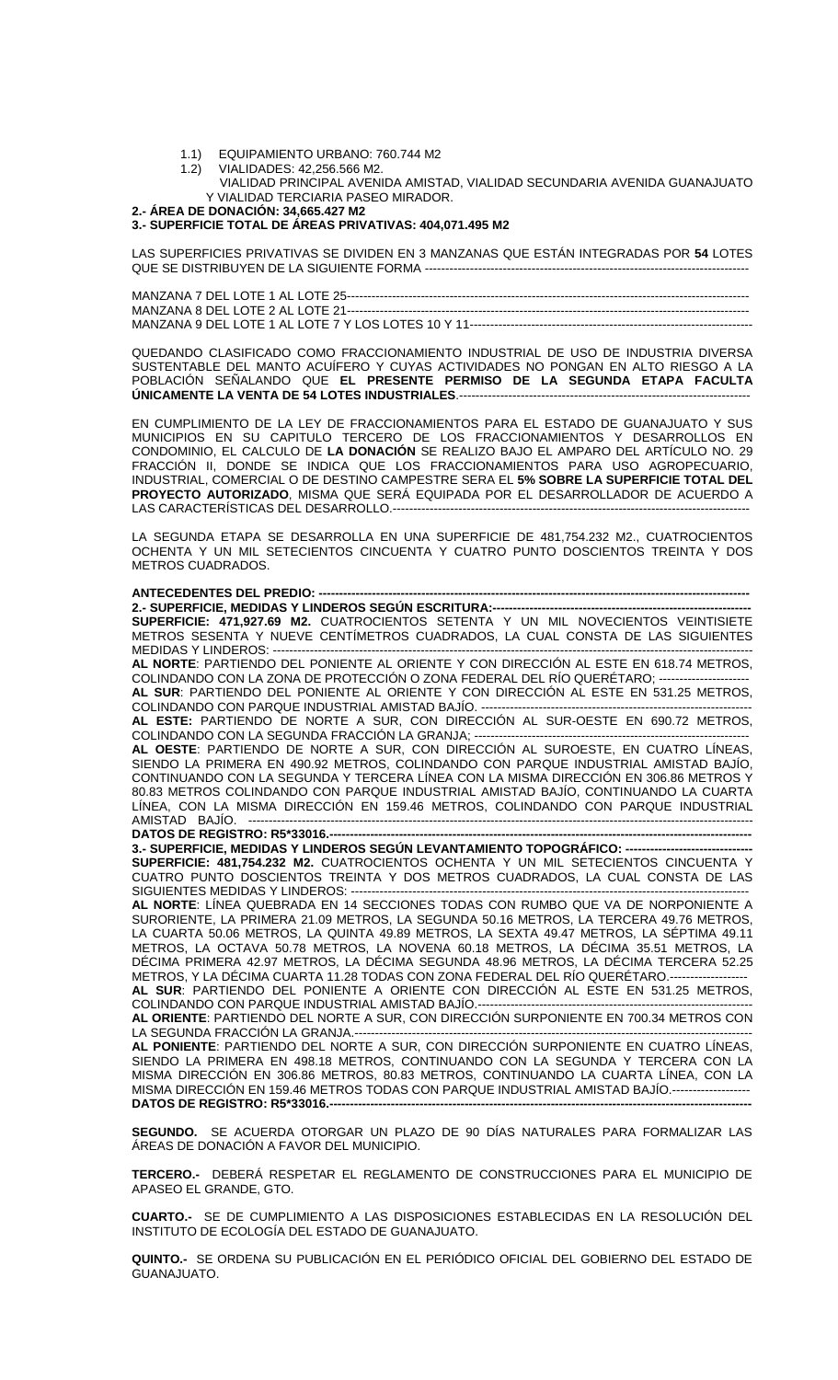- 1.1) EQUIPAMIENTO URBANO: 760.744 M2
- 1.2) VIALIDADES: 42,256.566 M2.
	- VIALIDAD PRINCIPAL AVENIDA AMISTAD, VIALIDAD SECUNDARIA AVENIDA GUANAJUATO Y VIALIDAD TERCIARIA PASEO MIRADOR.

**2.- ÁREA DE DONACIÓN: 34,665.427 M2** 

### **3.- SUPERFICIE TOTAL DE ÁREAS PRIVATIVAS: 404,071.495 M2**

LAS SUPERFICIES PRIVATIVAS SE DIVIDEN EN 3 MANZANAS QUE ESTÁN INTEGRADAS POR **54** LOTES QUE SE DISTRIBUYEN DE LA SIGUIENTE FORMA --------

MANZANA 7 DEL LOTE 1 AL LOTE 25-------------------------------------------------------------------------------------------------- MANZANA 8 DEL LOTE 2 AL LOTE 21-------------------------------------------------------------------------------------------------- MANZANA 9 DEL LOTE 1 AL LOTE 7 Y LOS LOTES 10 Y 11---------------------------------------------------------------------

QUEDANDO CLASIFICADO COMO FRACCIONAMIENTO INDUSTRIAL DE USO DE INDUSTRIA DIVERSA SUSTENTABLE DEL MANTO ACUÍFERO Y CUYAS ACTIVIDADES NO PONGAN EN ALTO RIESGO A LA POBLACIÓN SEÑALANDO QUE **EL PRESENTE PERMISO DE LA SEGUNDA ETAPA FACULTA ÚNICAMENTE LA VENTA DE 54 LOTES INDUSTRIALES**.-----------------------------------------------------------------------

EN CUMPLIMIENTO DE LA LEY DE FRACCIONAMIENTOS PARA EL ESTADO DE GUANAJUATO Y SUS MUNICIPIOS EN SU CAPITULO TERCERO DE LOS FRACCIONAMIENTOS Y DESARROLLOS EN CONDOMINIO, EL CALCULO DE **LA DONACIÓN** SE REALIZO BAJO EL AMPARO DEL ARTÍCULO NO. 29 FRACCIÓN II, DONDE SE INDICA QUE LOS FRACCIONAMIENTOS PARA USO AGROPECUARIO, INDUSTRIAL, COMERCIAL O DE DESTINO CAMPESTRE SERA EL **5% SOBRE LA SUPERFICIE TOTAL DEL PROYECTO AUTORIZADO**, MISMA QUE SERÁ EQUIPADA POR EL DESARROLLADOR DE ACUERDO A LAS CARACTERÍSTICAS DEL DESARROLLO.---------------------------------------------------------------------------------------

LA SEGUNDA ETAPA SE DESARROLLA EN UNA SUPERFICIE DE 481,754.232 M2., CUATROCIENTOS OCHENTA Y UN MIL SETECIENTOS CINCUENTA Y CUATRO PUNTO DOSCIENTOS TREINTA Y DOS METROS CUADRADOS.

# **ANTECEDENTES DEL PREDIO: --**

**2.- SUPERFICIE, MEDIDAS Y LINDEROS SEGÚN ESCRITURA:---SUPERFICIE: 471,927.69 M2.** CUATROCIENTOS SETENTA Y UN MIL NOVECIENTOS VEINTISIETE METROS SESENTA Y NUEVE CENTÍMETROS CUADRADOS, LA CUAL CONSTA DE LAS SIGUIENTES MEDIDAS Y LINDEROS: ---

**AL NORTE**: PARTIENDO DEL PONIENTE AL ORIENTE Y CON DIRECCIÓN AL ESTE EN 618.74 METROS, COLINDANDO CON LA ZONA DE PROTECCIÓN O ZONA FEDERAL DEL RÍO QUERÉTARO; ---------------------- **AL SUR**: PARTIENDO DEL PONIENTE AL ORIENTE Y CON DIRECCIÓN AL ESTE EN 531.25 METROS,

COLINDANDO CON PARQUE INDUSTRIAL AMISTAD BAJÍO. -

**AL ESTE:** PARTIENDO DE NORTE A SUR, CON DIRECCIÓN AL SUR-OESTE EN 690.72 METROS, COLINDANDO CON LA SEGUNDA FRACCIÓN LA GRANJA; -

**AL OESTE**: PARTIENDO DE NORTE A SUR, CON DIRECCIÓN AL SUROESTE, EN CUATRO LÍNEAS, SIENDO LA PRIMERA EN 490.92 METROS, COLINDANDO CON PARQUE INDUSTRIAL AMISTAD BAJÍO, CONTINUANDO CON LA SEGUNDA Y TERCERA LÍNEA CON LA MISMA DIRECCIÓN EN 306.86 METROS Y 80.83 METROS COLINDANDO CON PARQUE INDUSTRIAL AMISTAD BAJÍO, CONTINUANDO LA CUARTA LÍNEA, CON LA MISMA DIRECCIÓN EN 159.46 METROS, COLINDANDO CON PARQUE INDUSTRIAL  $AMISTAD$   $BAJIO$ . **DATOS DE REGISTRO: R5\*33016.--**

**3.- SUPERFICIE, MEDIDAS Y LINDEROS SEGÚN LEVANTAMIENTO TOPOGRÁFICO: --SUPERFICIE: 481,754.232 M2.** CUATROCIENTOS OCHENTA Y UN MIL SETECIENTOS CINCUENTA Y CUATRO PUNTO DOSCIENTOS TREINTA Y DOS METROS CUADRADOS, LA CUAL CONSTA DE LAS SIGUIENTES MEDIDAS Y LINDEROS: -

**AL NORTE**: LÍNEA QUEBRADA EN 14 SECCIONES TODAS CON RUMBO QUE VA DE NORPONIENTE A SURORIENTE, LA PRIMERA 21.09 METROS, LA SEGUNDA 50.16 METROS, LA TERCERA 49.76 METROS, LA CUARTA 50.06 METROS, LA QUINTA 49.89 METROS, LA SEXTA 49.47 METROS, LA SÉPTIMA 49.11 METROS, LA OCTAVA 50.78 METROS, LA NOVENA 60.18 METROS, LA DÉCIMA 35.51 METROS, LA DÉCIMA PRIMERA 42.97 METROS, LA DÉCIMA SEGUNDA 48.96 METROS, LA DÉCIMA TERCERA 52.25 METROS, Y LA DÉCIMA CUARTA 11.28 TODAS CON ZONA FEDERAL DEL RÍO QUERÉTARO.--**AL SUR**: PARTIENDO DEL PONIENTE A ORIENTE CON DIRECCIÓN AL ESTE EN 531.25 METROS, COLINDANDO CON PARQUE INDUSTRIAL AMISTAD BAJÍO.-

**AL ORIENTE**: PARTIENDO DEL NORTE A SUR, CON DIRECCIÓN SURPONIENTE EN 700.34 METROS CON LA SEGUNDA FRACCIÓN LA GRANJA.----

**AL PONIENTE**: PARTIENDO DEL NORTE A SUR, CON DIRECCIÓN SURPONIENTE EN CUATRO LÍNEAS, SIENDO LA PRIMERA EN 498.18 METROS, CONTINUANDO CON LA SEGUNDA Y TERCERA CON LA MISMA DIRECCIÓN EN 306.86 METROS, 80.83 METROS, CONTINUANDO LA CUARTA LÍNEA, CON LA MISMA DIRECCIÓN EN 159.46 METROS TODAS CON PARQUE INDUSTRIAL AMISTAD BAJÍO.------------------- **DATOS DE REGISTRO: R5\*33016.-**

**SEGUNDO.** SE ACUERDA OTORGAR UN PLAZO DE 90 DÍAS NATURALES PARA FORMALIZAR LAS ÁREAS DE DONACIÓN A FAVOR DEL MUNICIPIO.

**TERCERO.-** DEBERÁ RESPETAR EL REGLAMENTO DE CONSTRUCCIONES PARA EL MUNICIPIO DE APASEO EL GRANDE, GTO.

**CUARTO.-** SE DE CUMPLIMIENTO A LAS DISPOSICIONES ESTABLECIDAS EN LA RESOLUCIÓN DEL INSTITUTO DE ECOLOGÍA DEL ESTADO DE GUANAJUATO.

**QUINTO.-** SE ORDENA SU PUBLICACIÓN EN EL PERIÓDICO OFICIAL DEL GOBIERNO DEL ESTADO DE GUANAJUATO.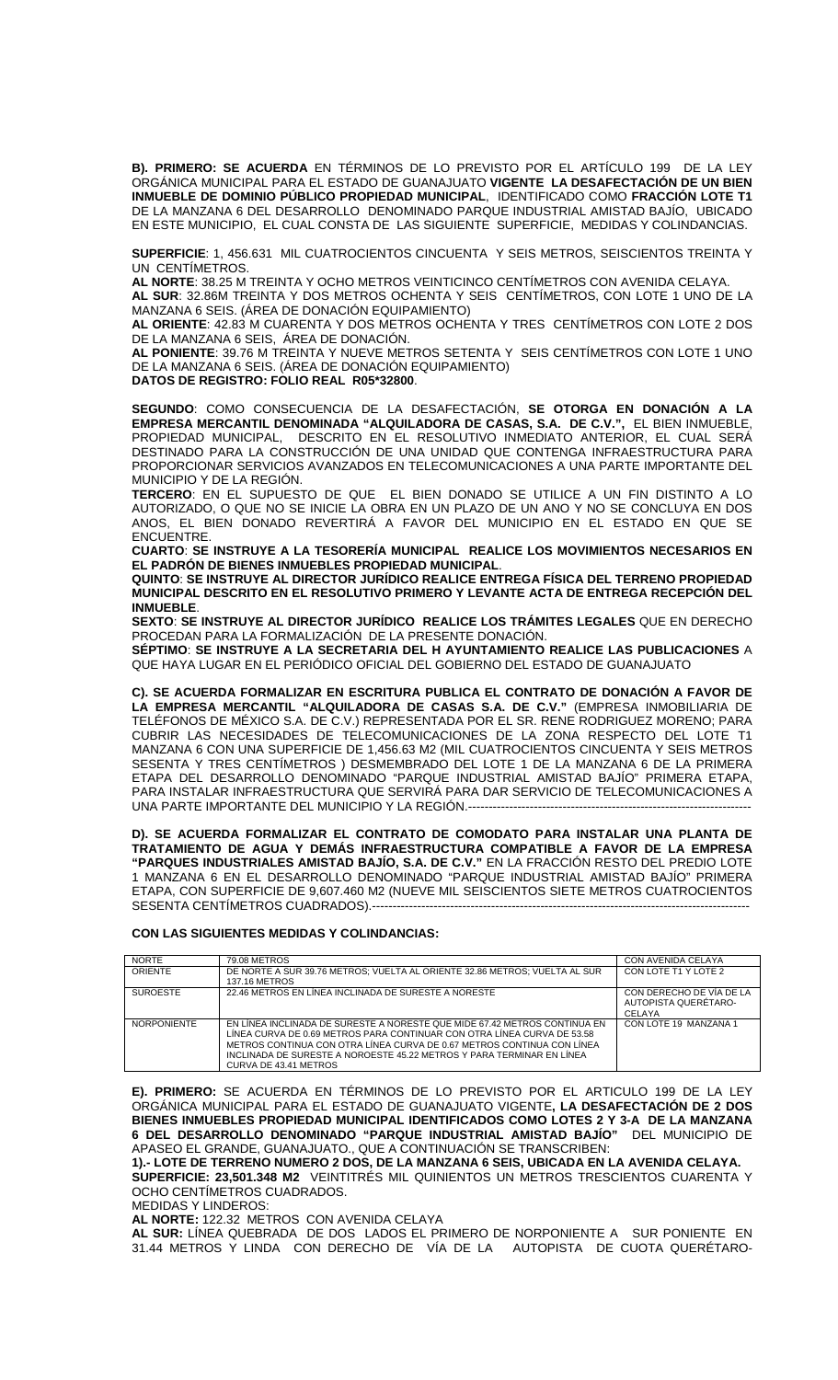**B). PRIMERO: SE ACUERDA** EN TÉRMINOS DE LO PREVISTO POR EL ARTÍCULO 199 DE LA LEY ORGÁNICA MUNICIPAL PARA EL ESTADO DE GUANAJUATO **VIGENTE LA DESAFECTACIÓN DE UN BIEN INMUEBLE DE DOMINIO PÚBLICO PROPIEDAD MUNICIPAL**, IDENTIFICADO COMO **FRACCIÓN LOTE T1** DE LA MANZANA 6 DEL DESARROLLO DENOMINADO PARQUE INDUSTRIAL AMISTAD BAJÍO, UBICADO EN ESTE MUNICIPIO, EL CUAL CONSTA DE LAS SIGUIENTE SUPERFICIE, MEDIDAS Y COLINDANCIAS.

**SUPERFICIE**: 1, 456.631 MIL CUATROCIENTOS CINCUENTA Y SEIS METROS, SEISCIENTOS TREINTA Y UN CENTÍMETROS.

**AL NORTE**: 38.25 M TREINTA Y OCHO METROS VEINTICINCO CENTÍMETROS CON AVENIDA CELAYA. **AL SUR**: 32.86M TREINTA Y DOS METROS OCHENTA Y SEIS CENTÍMETROS, CON LOTE 1 UNO DE LA

MANZANA 6 SEIS. (ÁREA DE DONACIÓN EQUIPAMIENTO) **AL ORIENTE**: 42.83 M CUARENTA Y DOS METROS OCHENTA Y TRES CENTÍMETROS CON LOTE 2 DOS DE LA MANZANA 6 SEIS, ÁREA DE DONACIÓN.

**AL PONIENTE**: 39.76 M TREINTA Y NUEVE METROS SETENTA Y SEIS CENTÍMETROS CON LOTE 1 UNO DE LA MANZANA 6 SEIS. (ÁREA DE DONACIÓN EQUIPAMIENTO) **DATOS DE REGISTRO: FOLIO REAL R05\*32800**.

**SEGUNDO**: COMO CONSECUENCIA DE LA DESAFECTACIÓN, **SE OTORGA EN DONACIÓN A LA EMPRESA MERCANTIL DENOMINADA "ALQUILADORA DE CASAS, S.A. DE C.V.",** EL BIEN INMUEBLE, PROPIEDAD MUNICIPAL, DESCRITO EN EL RESOLUTIVO INMEDIATO ANTERIOR, EL CUAL SERÁ DESTINADO PARA LA CONSTRUCCIÓN DE UNA UNIDAD QUE CONTENGA INFRAESTRUCTURA PARA PROPORCIONAR SERVICIOS AVANZADOS EN TELECOMUNICACIONES A UNA PARTE IMPORTANTE DEL MUNICIPIO Y DE LA REGIÓN.

**TERCERO**: EN EL SUPUESTO DE QUE EL BIEN DONADO SE UTILICE A UN FIN DISTINTO A LO AUTORIZADO, O QUE NO SE INICIE LA OBRA EN UN PLAZO DE UN ANO Y NO SE CONCLUYA EN DOS ANOS, EL BIEN DONADO REVERTIRÁ A FAVOR DEL MUNICIPIO EN EL ESTADO EN QUE SE ENCUENTRE.

**CUARTO**: **SE INSTRUYE A LA TESORERÍA MUNICIPAL REALICE LOS MOVIMIENTOS NECESARIOS EN EL PADRÓN DE BIENES INMUEBLES PROPIEDAD MUNICIPAL**.

**QUINTO**: **SE INSTRUYE AL DIRECTOR JURÍDICO REALICE ENTREGA FÍSICA DEL TERRENO PROPIEDAD MUNICIPAL DESCRITO EN EL RESOLUTIVO PRIMERO Y LEVANTE ACTA DE ENTREGA RECEPCIÓN DEL INMUEBLE**.

**SEXTO**: **SE INSTRUYE AL DIRECTOR JURÍDICO REALICE LOS TRÁMITES LEGALES** QUE EN DERECHO PROCEDAN PARA LA FORMALIZACIÓN DE LA PRESENTE DONACIÓN.

**SÉPTIMO**: **SE INSTRUYE A LA SECRETARIA DEL H AYUNTAMIENTO REALICE LAS PUBLICACIONES** A QUE HAYA LUGAR EN EL PERIÓDICO OFICIAL DEL GOBIERNO DEL ESTADO DE GUANAJUATO

**C). SE ACUERDA FORMALIZAR EN ESCRITURA PUBLICA EL CONTRATO DE DONACIÓN A FAVOR DE LA EMPRESA MERCANTIL "ALQUILADORA DE CASAS S.A. DE C.V."** (EMPRESA INMOBILIARIA DE TELÉFONOS DE MÉXICO S.A. DE C.V.) REPRESENTADA POR EL SR. RENE RODRIGUEZ MORENO; PARA CUBRIR LAS NECESIDADES DE TELECOMUNICACIONES DE LA ZONA RESPECTO DEL LOTE T1 MANZANA 6 CON UNA SUPERFICIE DE 1,456.63 M2 (MIL CUATROCIENTOS CINCUENTA Y SEIS METROS SESENTA Y TRES CENTÍMETROS ) DESMEMBRADO DEL LOTE 1 DE LA MANZANA 6 DE LA PRIMERA ETAPA DEL DESARROLLO DENOMINADO "PARQUE INDUSTRIAL AMISTAD BAJÍO" PRIMERA ETAPA, PARA INSTALAR INFRAESTRUCTURA QUE SERVIRÁ PARA DAR SERVICIO DE TELECOMUNICACIONES A UNA PARTE IMPORTANTE DEL MUNICIPIO Y LA REGIÓN.--

**D). SE ACUERDA FORMALIZAR EL CONTRATO DE COMODATO PARA INSTALAR UNA PLANTA DE TRATAMIENTO DE AGUA Y DEMÁS INFRAESTRUCTURA COMPATIBLE A FAVOR DE LA EMPRESA "PARQUES INDUSTRIALES AMISTAD BAJÍO, S.A. DE C.V."** EN LA FRACCIÓN RESTO DEL PREDIO LOTE 1 MANZANA 6 EN EL DESARROLLO DENOMINADO "PARQUE INDUSTRIAL AMISTAD BAJÍO" PRIMERA ETAPA, CON SUPERFICIE DE 9,607.460 M2 (NUEVE MIL SEISCIENTOS SIETE METROS CUATROCIENTOS SESENTA CENTÍMETROS CUADRADOS).----

### **CON LAS SIGUIENTES MEDIDAS Y COLINDANCIAS:**

| <b>NORTE</b>       | <b>79.08 METROS</b>                                                                                                                                                                                                                                                                                                              | CON AVENIDA CELAYA                                         |
|--------------------|----------------------------------------------------------------------------------------------------------------------------------------------------------------------------------------------------------------------------------------------------------------------------------------------------------------------------------|------------------------------------------------------------|
| ORIENTE            | DE NORTE A SUR 39.76 METROS: VUELTA AL ORIENTE 32.86 METROS: VUELTA AL SUR<br>137.16 METROS                                                                                                                                                                                                                                      | CON LOTE T1 Y LOTE 2                                       |
| <b>SUROESTE</b>    | 22.46 METROS EN LINEA INCLINADA DE SURESTE A NORESTE                                                                                                                                                                                                                                                                             | CON DERECHO DE VÍA DE LA<br>AUTOPISTA QUERÉTARO-<br>CELAYA |
| <b>NORPONIENTE</b> | EN LINEA INCLINADA DE SURESTE A NORESTE QUE MIDE 67.42 METROS CONTINUA EN<br>LÍNEA CURVA DE 0.69 METROS PARA CONTINUAR CON OTRA LÍNEA CURVA DE 53.58<br>METROS CONTINUA CON OTRA LÍNEA CURVA DE 0.67 METROS CONTINUA CON LÍNEA<br>INCLINADA DE SURESTE A NOROESTE 45.22 METROS Y PARA TERMINAR EN LÍNEA<br>CURVA DE 43.41 METROS | CON LOTE 19 MANZANA 1                                      |

**E). PRIMERO:** SE ACUERDA EN TÉRMINOS DE LO PREVISTO POR EL ARTICULO 199 DE LA LEY ORGÁNICA MUNICIPAL PARA EL ESTADO DE GUANAJUATO VIGENTE**, LA DESAFECTACIÓN DE 2 DOS BIENES INMUEBLES PROPIEDAD MUNICIPAL IDENTIFICADOS COMO LOTES 2 Y 3-A DE LA MANZANA 6 DEL DESARROLLO DENOMINADO "PARQUE INDUSTRIAL AMISTAD BAJÍO"** DEL MUNICIPIO DE APASEO EL GRANDE, GUANAJUATO., QUE A CONTINUACIÓN SE TRANSCRIBEN:

**1).- LOTE DE TERRENO NUMERO 2 DOS, DE LA MANZANA 6 SEIS, UBICADA EN LA AVENIDA CELAYA. SUPERFICIE: 23,501.348 M2** VEINTITRÉS MIL QUINIENTOS UN METROS TRESCIENTOS CUARENTA Y OCHO CENTÍMETROS CUADRADOS.

MEDIDAS Y LINDEROS:

**AL NORTE:** 122.32 METROS CON AVENIDA CELAYA

**AL SUR:** LÍNEA QUEBRADA DE DOS LADOS EL PRIMERO DE NORPONIENTE A SUR PONIENTE EN 31.44 METROS Y LINDA CON DERECHO DE VÍA DE LA AUTOPISTA DE CUOTA QUERÉTARO-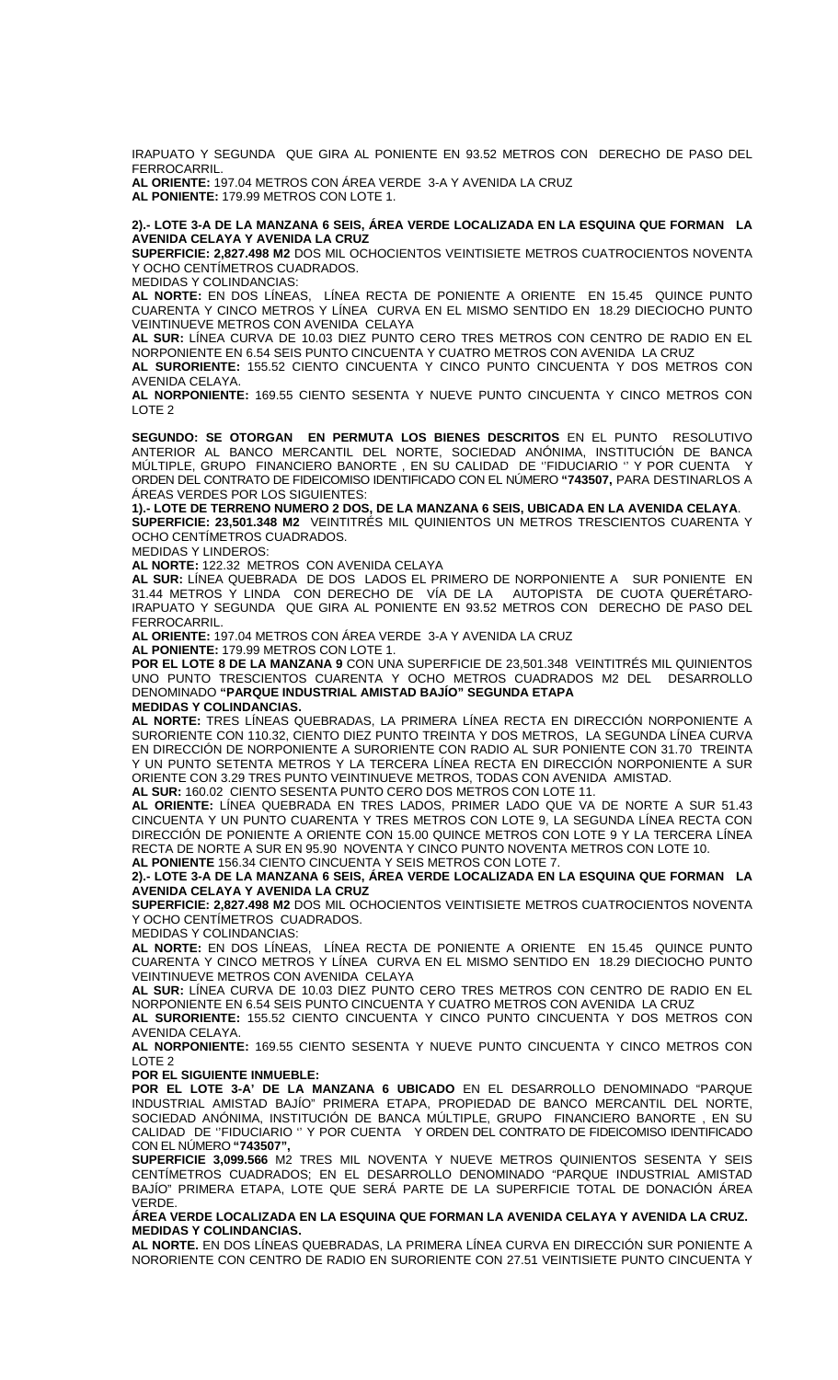IRAPUATO Y SEGUNDA QUE GIRA AL PONIENTE EN 93.52 METROS CON DERECHO DE PASO DEL FERROCARRIL.

**AL ORIENTE:** 197.04 METROS CON ÁREA VERDE 3-A Y AVENIDA LA CRUZ **AL PONIENTE:** 179.99 METROS CON LOTE 1.

**2).- LOTE 3-A DE LA MANZANA 6 SEIS, ÁREA VERDE LOCALIZADA EN LA ESQUINA QUE FORMAN LA AVENIDA CELAYA Y AVENIDA LA CRUZ** 

**SUPERFICIE: 2,827.498 M2** DOS MIL OCHOCIENTOS VEINTISIETE METROS CUATROCIENTOS NOVENTA Y OCHO CENTÍMETROS CUADRADOS.

MEDIDAS Y COLINDANCIAS:

**AL NORTE:** EN DOS LÍNEAS, LÍNEA RECTA DE PONIENTE A ORIENTE EN 15.45 QUINCE PUNTO CUARENTA Y CINCO METROS Y LÍNEA CURVA EN EL MISMO SENTIDO EN 18.29 DIECIOCHO PUNTO VEINTINUEVE METROS CON AVENIDA CELAYA

**AL SUR:** LÍNEA CURVA DE 10.03 DIEZ PUNTO CERO TRES METROS CON CENTRO DE RADIO EN EL NORPONIENTE EN 6.54 SEIS PUNTO CINCUENTA Y CUATRO METROS CON AVENIDA LA CRUZ **AL SURORIENTE:** 155.52 CIENTO CINCUENTA Y CINCO PUNTO CINCUENTA Y DOS METROS CON

AVENIDA CELAYA. **AL NORPONIENTE:** 169.55 CIENTO SESENTA Y NUEVE PUNTO CINCUENTA Y CINCO METROS CON LOTE 2

**SEGUNDO: SE OTORGAN EN PERMUTA LOS BIENES DESCRITOS** EN EL PUNTO RESOLUTIVO ANTERIOR AL BANCO MERCANTIL DEL NORTE, SOCIEDAD ANÓNIMA, INSTITUCIÓN DE BANCA MÚLTIPLE, GRUPO FINANCIERO BANORTE , EN SU CALIDAD DE ''FIDUCIARIO '' Y POR CUENTA Y ORDEN DEL CONTRATO DE FIDEICOMISO IDENTIFICADO CON EL NÚMERO **"743507,** PARA DESTINARLOS A ÁREAS VERDES POR LOS SIGUIENTES:

**1).- LOTE DE TERRENO NUMERO 2 DOS, DE LA MANZANA 6 SEIS, UBICADA EN LA AVENIDA CELAYA**. **SUPERFICIE: 23,501.348 M2** VEINTITRÉS MIL QUINIENTOS UN METROS TRESCIENTOS CUARENTA Y OCHO CENTÍMETROS CUADRADOS.

MEDIDAS Y LINDEROS:

**AL NORTE:** 122.32 METROS CON AVENIDA CELAYA

**AL SUR:** LÍNEA QUEBRADA DE DOS LADOS EL PRIMERO DE NORPONIENTE A SUR PONIENTE EN 31.44 METROS Y LINDA CON DERECHO DE VÍA DE LA AUTOPISTA DE CUOTA QUERÉTARO-IRAPUATO Y SEGUNDA QUE GIRA AL PONIENTE EN 93.52 METROS CON DERECHO DE PASO DEL FERROCARRIL.

**AL ORIENTE:** 197.04 METROS CON ÁREA VERDE 3-A Y AVENIDA LA CRUZ

**AL PONIENTE:** 179.99 METROS CON LOTE 1.

**POR EL LOTE 8 DE LA MANZANA 9** CON UNA SUPERFICIE DE 23,501.348 VEINTITRÉS MIL QUINIENTOS UNO PUNTO TRESCIENTOS CUARENTA Y OCHO METROS CUADRADOS M2 DEL DESARROLLO DENOMINADO **"PARQUE INDUSTRIAL AMISTAD BAJÍO" SEGUNDA ETAPA MEDIDAS Y COLINDANCIAS.** 

**AL NORTE:** TRES LÍNEAS QUEBRADAS, LA PRIMERA LÍNEA RECTA EN DIRECCIÓN NORPONIENTE A SURORIENTE CON 110.32, CIENTO DIEZ PUNTO TREINTA Y DOS METROS, LA SEGUNDA LÍNEA CURVA EN DIRECCIÓN DE NORPONIENTE A SURORIENTE CON RADIO AL SUR PONIENTE CON 31.70 TREINTA Y UN PUNTO SETENTA METROS Y LA TERCERA LÍNEA RECTA EN DIRECCIÓN NORPONIENTE A SUR ORIENTE CON 3.29 TRES PUNTO VEINTINUEVE METROS, TODAS CON AVENIDA AMISTAD.

**AL SUR:** 160.02 CIENTO SESENTA PUNTO CERO DOS METROS CON LOTE 11.

**AL ORIENTE:** LÍNEA QUEBRADA EN TRES LADOS, PRIMER LADO QUE VA DE NORTE A SUR 51.43 CINCUENTA Y UN PUNTO CUARENTA Y TRES METROS CON LOTE 9, LA SEGUNDA LÍNEA RECTA CON DIRECCIÓN DE PONIENTE A ORIENTE CON 15.00 QUINCE METROS CON LOTE 9 Y LA TERCERA LÍNEA RECTA DE NORTE A SUR EN 95.90 NOVENTA Y CINCO PUNTO NOVENTA METROS CON LOTE 10. **AL PONIENTE** 156.34 CIENTO CINCUENTA Y SEIS METROS CON LOTE 7.

**2).- LOTE 3-A DE LA MANZANA 6 SEIS, ÁREA VERDE LOCALIZADA EN LA ESQUINA QUE FORMAN LA AVENIDA CELAYA Y AVENIDA LA CRUZ**

**SUPERFICIE: 2,827.498 M2** DOS MIL OCHOCIENTOS VEINTISIETE METROS CUATROCIENTOS NOVENTA Y OCHO CENTÍMETROS CUADRADOS.

MEDIDAS Y COLINDANCIAS:

**AL NORTE:** EN DOS LÍNEAS, LÍNEA RECTA DE PONIENTE A ORIENTE EN 15.45 QUINCE PUNTO CUARENTA Y CINCO METROS Y LÍNEA CURVA EN EL MISMO SENTIDO EN 18.29 DIECIOCHO PUNTO VEINTINUEVE METROS CON AVENIDA CELAYA

**AL SUR:** LÍNEA CURVA DE 10.03 DIEZ PUNTO CERO TRES METROS CON CENTRO DE RADIO EN EL NORPONIENTE EN 6.54 SEIS PUNTO CINCUENTA Y CUATRO METROS CON AVENIDA LA CRUZ

**AL SURORIENTE:** 155.52 CIENTO CINCUENTA Y CINCO PUNTO CINCUENTA Y DOS METROS CON AVENIDA CELAYA.

**AL NORPONIENTE:** 169.55 CIENTO SESENTA Y NUEVE PUNTO CINCUENTA Y CINCO METROS CON LOTE 2

**POR EL SIGUIENTE INMUEBLE:** 

**POR EL LOTE 3-A' DE LA MANZANA 6 UBICADO** EN EL DESARROLLO DENOMINADO "PARQUE INDUSTRIAL AMISTAD BAJÍO" PRIMERA ETAPA, PROPIEDAD DE BANCO MERCANTIL DEL NORTE, SOCIEDAD ANÓNIMA, INSTITUCIÓN DE BANCA MÚLTIPLE, GRUPO FINANCIERO BANORTE , EN SU CALIDAD DE ''FIDUCIARIO '' Y POR CUENTA Y ORDEN DEL CONTRATO DE FIDEICOMISO IDENTIFICADO CON EL NÚMERO **"743507",** 

**SUPERFICIE 3,099.566** M2 TRES MIL NOVENTA Y NUEVE METROS QUINIENTOS SESENTA Y SEIS CENTÍMETROS CUADRADOS; EN EL DESARROLLO DENOMINADO "PARQUE INDUSTRIAL AMISTAD BAJÍO" PRIMERA ETAPA, LOTE QUE SERÁ PARTE DE LA SUPERFICIE TOTAL DE DONACIÓN ÁREA VERDE.

**ÁREA VERDE LOCALIZADA EN LA ESQUINA QUE FORMAN LA AVENIDA CELAYA Y AVENIDA LA CRUZ. MEDIDAS Y COLINDANCIAS.** 

**AL NORTE.** EN DOS LÍNEAS QUEBRADAS, LA PRIMERA LÍNEA CURVA EN DIRECCIÓN SUR PONIENTE A NORORIENTE CON CENTRO DE RADIO EN SURORIENTE CON 27.51 VEINTISIETE PUNTO CINCUENTA Y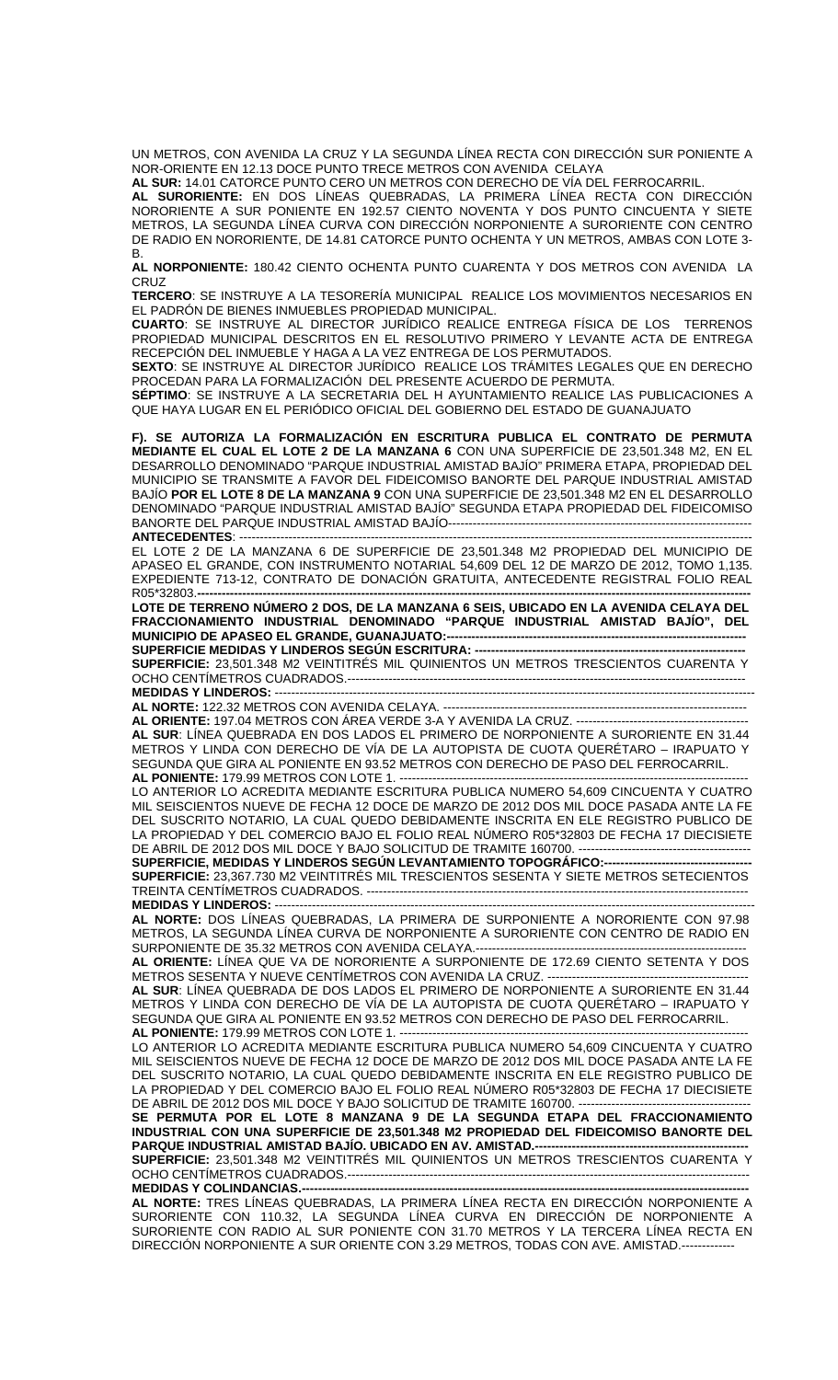UN METROS, CON AVENIDA LA CRUZ Y LA SEGUNDA LÍNEA RECTA CON DIRECCIÓN SUR PONIENTE A NOR-ORIENTE EN 12.13 DOCE PUNTO TRECE METROS CON AVENIDA CELAYA

**AL SUR:** 14.01 CATORCE PUNTO CERO UN METROS CON DERECHO DE VÍA DEL FERROCARRIL.

**AL SURORIENTE:** EN DOS LÍNEAS QUEBRADAS, LA PRIMERA LÍNEA RECTA CON DIRECCIÓN NORORIENTE A SUR PONIENTE EN 192.57 CIENTO NOVENTA Y DOS PUNTO CINCUENTA Y SIETE METROS, LA SEGUNDA LÍNEA CURVA CON DIRECCIÓN NORPONIENTE A SURORIENTE CON CENTRO DE RADIO EN NORORIENTE, DE 14.81 CATORCE PUNTO OCHENTA Y UN METROS, AMBAS CON LOTE 3- B.

**AL NORPONIENTE:** 180.42 CIENTO OCHENTA PUNTO CUARENTA Y DOS METROS CON AVENIDA LA CRUZ

**TERCERO**: SE INSTRUYE A LA TESORERÍA MUNICIPAL REALICE LOS MOVIMIENTOS NECESARIOS EN EL PADRÓN DE BIENES INMUEBLES PROPIEDAD MUNICIPAL.

**CUARTO**: SE INSTRUYE AL DIRECTOR JURÍDICO REALICE ENTREGA FÍSICA DE LOS TERRENOS PROPIEDAD MUNICIPAL DESCRITOS EN EL RESOLUTIVO PRIMERO Y LEVANTE ACTA DE ENTREGA RECEPCIÓN DEL INMUEBLE Y HAGA A LA VEZ ENTREGA DE LOS PERMUTADOS.

**SEXTO**: SE INSTRUYE AL DIRECTOR JURÍDICO REALICE LOS TRÁMITES LEGALES QUE EN DERECHO PROCEDAN PARA LA FORMALIZACIÓN DEL PRESENTE ACUERDO DE PERMUTA.

**SÉPTIMO**: SE INSTRUYE A LA SECRETARIA DEL H AYUNTAMIENTO REALICE LAS PUBLICACIONES A QUE HAYA LUGAR EN EL PERIÓDICO OFICIAL DEL GOBIERNO DEL ESTADO DE GUANAJUATO

**F). SE AUTORIZA LA FORMALIZACIÓN EN ESCRITURA PUBLICA EL CONTRATO DE PERMUTA MEDIANTE EL CUAL EL LOTE 2 DE LA MANZANA 6** CON UNA SUPERFICIE DE 23,501.348 M2, EN EL DESARROLLO DENOMINADO "PARQUE INDUSTRIAL AMISTAD BAJÍO" PRIMERA ETAPA, PROPIEDAD DEL MUNICIPIO SE TRANSMITE A FAVOR DEL FIDEICOMISO BANORTE DEL PARQUE INDUSTRIAL AMISTAD BAJÍO **POR EL LOTE 8 DE LA MANZANA 9** CON UNA SUPERFICIE DE 23,501.348 M2 EN EL DESARROLLO DENOMINADO "PARQUE INDUSTRIAL AMISTAD BAJÍO" SEGUNDA ETAPA PROPIEDAD DEL FIDEICOMISO BANORTE DEL PARQUE INDUSTRIAL AMISTAD BAJÍO--------------**ANTECEDENTES: -**

EL LOTE 2 DE LA MANZANA 6 DE SUPERFICIE DE 23,501.348 M2 PROPIEDAD DEL MUNICIPIO DE APASEO EL GRANDE, CON INSTRUMENTO NOTARIAL 54,609 DEL 12 DE MARZO DE 2012, TOMO 1,135. EXPEDIENTE 713-12, CONTRATO DE DONACIÓN GRATUITA, ANTECEDENTE REGISTRAL FOLIO REAL R05\*32803.**---------------------------------------------------------------------------------------------------------------------------------------**

**LOTE DE TERRENO NÚMERO 2 DOS, DE LA MANZANA 6 SEIS, UBICADO EN LA AVENIDA CELAYA DEL FRACCIONAMIENTO INDUSTRIAL DENOMINADO "PARQUE INDUSTRIAL AMISTAD BAJÍO", DEL MUNICIPIO DE APASEO EL GRANDE, GUANAJUATO:-SUPERFICIE MEDIDAS Y LINDEROS SEGÚN ESCRITURA: --**

**SUPERFICIE:** 23,501.348 M2 VEINTITRÉS MIL QUINIENTOS UN METROS TRESCIENTOS CUARENTA Y OCHO CENTÍMETROS CUADRADOS.------------------------------------------------------------------------------------------------- **MEDIDAS Y LINDEROS:** ---------------------------------------------------------------------------------------------------------------------

**AL NORTE:** 122.32 METROS CON AVENIDA CELAYA. --------------------------------------------------------------------------

**AL ORIENTE:** 197.04 METROS CON ÁREA VERDE 3-A Y AVENIDA LA CRUZ. ------------------------------------------

**AL SUR**: LÍNEA QUEBRADA EN DOS LADOS EL PRIMERO DE NORPONIENTE A SURORIENTE EN 31.44 METROS Y LINDA CON DERECHO DE VÍA DE LA AUTOPISTA DE CUOTA QUERÉTARO – IRAPUATO Y SEGUNDA QUE GIRA AL PONIENTE EN 93.52 METROS CON DERECHO DE PASO DEL FERROCARRIL. **AL PONIENTE: 179.99 METROS CON LOTE 1. ----**

LO ANTERIOR LO ACREDITA MEDIANTE ESCRITURA PUBLICA NUMERO 54,609 CINCUENTA Y CUATRO MIL SEISCIENTOS NUEVE DE FECHA 12 DOCE DE MARZO DE 2012 DOS MIL DOCE PASADA ANTE LA FE DEL SUSCRITO NOTARIO, LA CUAL QUEDO DEBIDAMENTE INSCRITA EN ELE REGISTRO PUBLICO DE LA PROPIEDAD Y DEL COMERCIO BAJO EL FOLIO REAL NÚMERO R05\*32803 DE FECHA 17 DIECISIETE DE ABRIL DE 2012 DOS MIL DOCE Y BAJO SOLICITUD DE TRAMITE 160700. ------------------------------------------ **SUPERFICIE, MEDIDAS Y LINDEROS SEGÚN LEVANTAMIENTO TOPOGRÁFICO:------------------------------------** 

**SUPERFICIE:** 23,367.730 M2 VEINTITRÉS MIL TRESCIENTOS SESENTA Y SIETE METROS SETECIENTOS TREINTA CENTÍMETROS CUADRADOS. ---

**MEDIDAS Y LINDEROS: -AL NORTE:** DOS LÍNEAS QUEBRADAS, LA PRIMERA DE SURPONIENTE A NORORIENTE CON 97.98 METROS, LA SEGUNDA LÍNEA CURVA DE NORPONIENTE A SURORIENTE CON CENTRO DE RADIO EN SURPONIENTE DE 35.32 METROS CON AVENIDA CELAYA.-

**AL ORIENTE:** LÍNEA QUE VA DE NORORIENTE A SURPONIENTE DE 172.69 CIENTO SETENTA Y DOS METROS SESENTA Y NUEVE CENTÍMETROS CON AVENIDA LA CRUZ. --

**AL SUR**: LÍNEA QUEBRADA DE DOS LADOS EL PRIMERO DE NORPONIENTE A SURORIENTE EN 31.44 METROS Y LINDA CON DERECHO DE VÍA DE LA AUTOPISTA DE CUOTA QUERÉTARO – IRAPUATO Y SEGUNDA QUE GIRA AL PONIENTE EN 93.52 METROS CON DERECHO DE PASO DEL FERROCARRIL. **AL PONIENTE: 179.99 METROS CON LOTE 1. --**

LO ANTERIOR LO ACREDITA MEDIANTE ESCRITURA PUBLICA NUMERO 54,609 CINCUENTA Y CUATRO MIL SEISCIENTOS NUEVE DE FECHA 12 DOCE DE MARZO DE 2012 DOS MIL DOCE PASADA ANTE LA FE DEL SUSCRITO NOTARIO, LA CUAL QUEDO DEBIDAMENTE INSCRITA EN ELE REGISTRO PUBLICO DE LA PROPIEDAD Y DEL COMERCIO BAJO EL FOLIO REAL NÚMERO R05\*32803 DE FECHA 17 DIECISIETE DE ABRIL DE 2012 DOS MIL DOCE Y BAJO SOLICITUD DE TRAMITE 160700. ---

**SE PERMUTA POR EL LOTE 8 MANZANA 9 DE LA SEGUNDA ETAPA DEL FRACCIONAMIENTO INDUSTRIAL CON UNA SUPERFICIE DE 23,501.348 M2 PROPIEDAD DEL FIDEICOMISO BANORTE DEL PARQUE INDUSTRIAL AMISTAD BAJÍO. UBICADO EN AV. AMISTAD.--SUPERFICIE:** 23,501.348 M2 VEINTITRÉS MIL QUINIENTOS UN METROS TRESCIENTOS CUARENTA Y OCHO CENTÍMETROS CUADRADOS.---------

**MEDIDAS Y COLINDANCIAS.-**

**AL NORTE:** TRES LÍNEAS QUEBRADAS, LA PRIMERA LÍNEA RECTA EN DIRECCIÓN NORPONIENTE A SURORIENTE CON 110.32, LA SEGUNDA LÍNEA CURVA EN DIRECCIÓN DE NORPONIENTE A SURORIENTE CON RADIO AL SUR PONIENTE CON 31.70 METROS Y LA TERCERA LÍNEA RECTA EN DIRECCIÓN NORPONIENTE A SUR ORIENTE CON 3.29 METROS, TODAS CON AVE. AMISTAD.--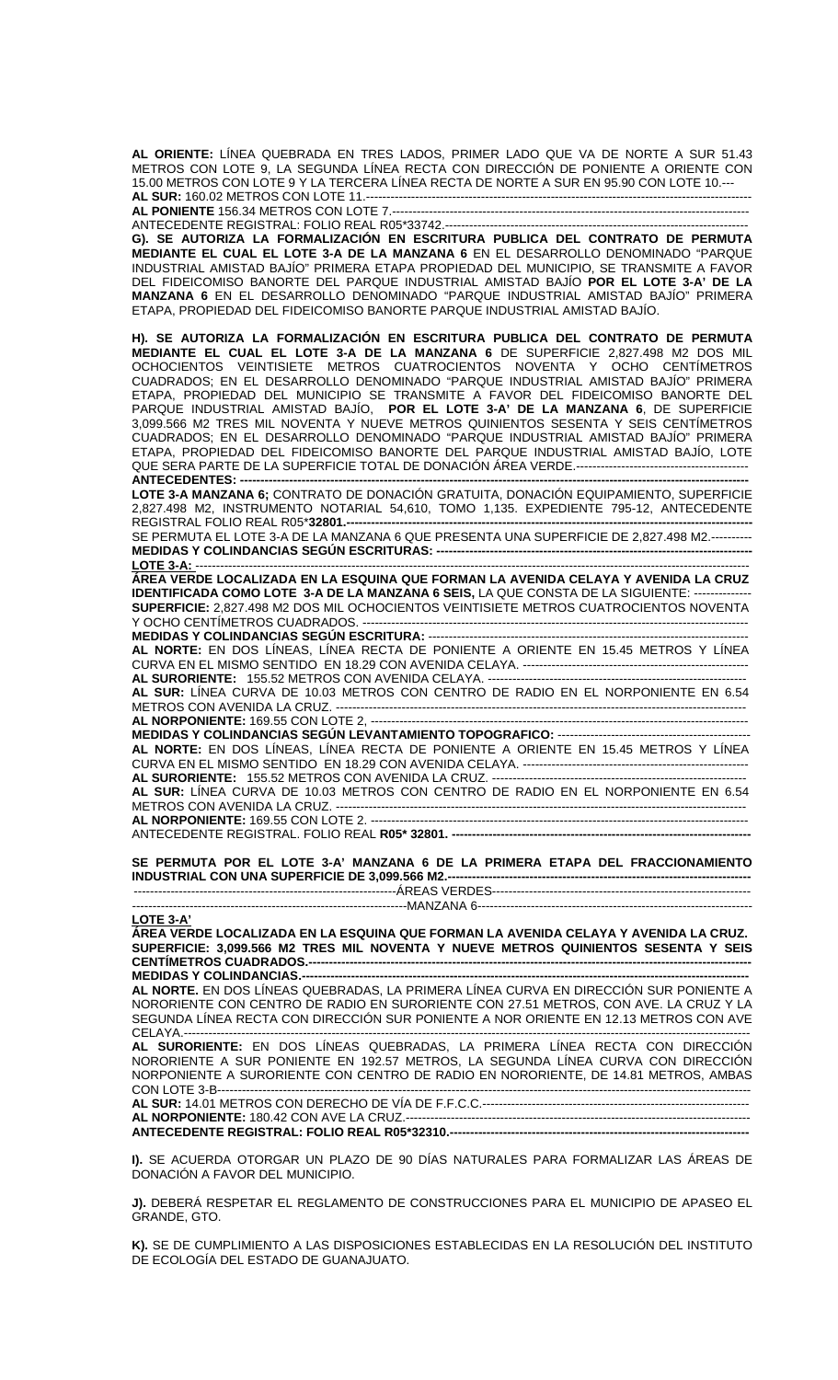**AL ORIENTE:** LÍNEA QUEBRADA EN TRES LADOS, PRIMER LADO QUE VA DE NORTE A SUR 51.43 METROS CON LOTE 9, LA SEGUNDA LÍNEA RECTA CON DIRECCIÓN DE PONIENTE A ORIENTE CON 15.00 METROS CON LOTE 9 Y LA TERCERA LÍNEA RECTA DE NORTE A SUR EN 95.90 CON LOTE 10.--- **AL SUR:** 160.02 METROS CON LOTE 11.----------------------------------------------------------------------------------------------

**AL PONIENTE** 156.34 METROS CON LOTE 7.---------------------------------------------------------------------------------------

ANTECEDENTE REGISTRAL: FOLIO REAL R05\*33742.--------------------------------------------------------------------------

**G). SE AUTORIZA LA FORMALIZACIÓN EN ESCRITURA PUBLICA DEL CONTRATO DE PERMUTA MEDIANTE EL CUAL EL LOTE 3-A DE LA MANZANA 6** EN EL DESARROLLO DENOMINADO "PARQUE INDUSTRIAL AMISTAD BAJÍO" PRIMERA ETAPA PROPIEDAD DEL MUNICIPIO, SE TRANSMITE A FAVOR DEL FIDEICOMISO BANORTE DEL PARQUE INDUSTRIAL AMISTAD BAJÍO **POR EL LOTE 3-A' DE LA MANZANA 6** EN EL DESARROLLO DENOMINADO "PARQUE INDUSTRIAL AMISTAD BAJÍO" PRIMERA ETAPA, PROPIEDAD DEL FIDEICOMISO BANORTE PARQUE INDUSTRIAL AMISTAD BAJÍO.

**H). SE AUTORIZA LA FORMALIZACIÓN EN ESCRITURA PUBLICA DEL CONTRATO DE PERMUTA MEDIANTE EL CUAL EL LOTE 3-A DE LA MANZANA 6** DE SUPERFICIE 2,827.498 M2 DOS MIL OCHOCIENTOS VEINTISIETE METROS CUATROCIENTOS NOVENTA Y OCHO CENTÍMETROS CUADRADOS; EN EL DESARROLLO DENOMINADO "PARQUE INDUSTRIAL AMISTAD BAJÍO" PRIMERA ETAPA, PROPIEDAD DEL MUNICIPIO SE TRANSMITE A FAVOR DEL FIDEICOMISO BANORTE DEL PARQUE INDUSTRIAL AMISTAD BAJÍO, **POR EL LOTE 3-A' DE LA MANZANA 6**, DE SUPERFICIE 3,099.566 M2 TRES MIL NOVENTA Y NUEVE METROS QUINIENTOS SESENTA Y SEIS CENTÍMETROS CUADRADOS; EN EL DESARROLLO DENOMINADO "PARQUE INDUSTRIAL AMISTAD BAJÍO" PRIMERA ETAPA, PROPIEDAD DEL FIDEICOMISO BANORTE DEL PARQUE INDUSTRIAL AMISTAD BAJÍO, LOTE QUE SERA PARTE DE LA SUPERFICIE TOTAL DE DONACIÓN ÁREA VERDE.------------------------------------------  $ANTECEDENTES: -$ 

**LOTE 3-A MANZANA 6;** CONTRATO DE DONACIÓN GRATUITA, DONACIÓN EQUIPAMIENTO, SUPERFICIE 2,827.498 M2, INSTRUMENTO NOTARIAL 54,610, TOMO 1,135. EXPEDIENTE 795-12, ANTECEDENTE REGISTRAL FOLIO REAL R05\***32801.---------------------------------------------------------------------------------------------------**

SE PERMUTA EL LOTE 3-A DE LA MANZANA 6 QUE PRESENTA UNA SUPERFICIE DE 2,827.498 M2.---------- **MEDIDAS Y COLINDANCIAS SEGÚN ESCRITURAS: -----------------------------------------------------------------------------**

**LOTE 3-A:** --------------------------------------------------------------------------------------------------------------------------------------- **ÁREA VERDE LOCALIZADA EN LA ESQUINA QUE FORMAN LA AVENIDA CELAYA Y AVENIDA LA CRUZ IDENTIFICADA COMO LOTE 3-A DE LA MANZANA 6 SEIS,** LA QUE CONSTA DE LA SIGUIENTE: -------------- **SUPERFICIE:** 2,827.498 M2 DOS MIL OCHOCIENTOS VEINTISIETE METROS CUATROCIENTOS NOVENTA Y OCHO CENTÍMETROS CUADRADOS. ----------------------------------------------------------------------------------------------

**MEDIDAS Y COLINDANCIAS SEGÚN ESCRITURA:** ------------------------------------------------------------------------------ **AL NORTE:** EN DOS LÍNEAS, LÍNEA RECTA DE PONIENTE A ORIENTE EN 15.45 METROS Y LÍNEA CURVA EN EL MISMO SENTIDO EN 18.29 CON AVENIDA CELAYA. ------------------------------------------------------- **AL SURORIENTE:** 155.52 METROS CON AVENIDA CELAYA. ---------------------------------------------------------------

**AL SUR:** LÍNEA CURVA DE 10.03 METROS CON CENTRO DE RADIO EN EL NORPONIENTE EN 6.54 METROS CON AVENIDA LA CRUZ. ----------------------------------------------------------------------------------------------------

**AL NORPONIENTE:** 169.55 CON LOTE 2, -------------------------------------------------------------------------------------------- **MEDIDAS Y COLINDANCIAS SEGÚN LEVANTAMIENTO TOPOGRAFICO:** ----------------------------------------------- **AL NORTE:** EN DOS LÍNEAS, LÍNEA RECTA DE PONIENTE A ORIENTE EN 15.45 METROS Y LÍNEA CURVA EN EL MISMO SENTIDO EN 18.29 CON AVENIDA CELAYA. ------------------------------------------------------- **AL SURORIENTE:** 155.52 METROS CON AVENIDA LA CRUZ. -------------------------------------------------------------- **AL SUR:** LÍNEA CURVA DE 10.03 METROS CON CENTRO DE RADIO EN EL NORPONIENTE EN 6.54

METROS CON AVENIDA LA CRUZ. ---------------------------------------------------------------------------------------------------- **AL NORPONIENTE:** 169.55 CON LOTE 2. --------------------------------------------------------------------------------------------

ANTECEDENTE REGISTRAL. FOLIO REAL **R05\* 32801. -------------------------------------------------------------------------**

**SE PERMUTA POR EL LOTE 3-A' MANZANA 6 DE LA PRIMERA ETAPA DEL FRACCIONAMIENTO INDUSTRIAL CON UNA SUPERFICIE DE 3,099.566 M2.--------------------------------------------------------------------------**  ----------------------------------------------------------------ÁREAS VERDES---------------------------------------------------------------

-------------------------------------------------------------------MANZANA 6-------------------------------------------------------------------

**LOTE 3-A'**

**ÁREA VERDE LOCALIZADA EN LA ESQUINA QUE FORMAN LA AVENIDA CELAYA Y AVENIDA LA CRUZ. SUPERFICIE: 3,099.566 M2 TRES MIL NOVENTA Y NUEVE METROS QUINIENTOS SESENTA Y SEIS**  CENTÍMETROS CUADRADOS.---------------------**MEDIDAS Y COLINDANCIAS.---**

**AL NORTE.** EN DOS LÍNEAS QUEBRADAS, LA PRIMERA LÍNEA CURVA EN DIRECCIÓN SUR PONIENTE A NORORIENTE CON CENTRO DE RADIO EN SURORIENTE CON 27.51 METROS, CON AVE. LA CRUZ Y LA SEGUNDA LÍNEA RECTA CON DIRECCIÓN SUR PONIENTE A NOR ORIENTE EN 12.13 METROS CON AVE CELAYA.------------------------------------------------------------------------------------------------------------------------------------------

**AL SURORIENTE:** EN DOS LÍNEAS QUEBRADAS, LA PRIMERA LÍNEA RECTA CON DIRECCIÓN NORORIENTE A SUR PONIENTE EN 192.57 METROS, LA SEGUNDA LÍNEA CURVA CON DIRECCIÓN NORPONIENTE A SURORIENTE CON CENTRO DE RADIO EN NORORIENTE, DE 14.81 METROS, AMBAS CON LOTE 3-B----------------------------------------------------------------------------------------------------------------------------------

**AL SUR:** 14.01 METROS CON DERECHO DE VÍA DE F.F.C.C.----------------------------------------------------------------- **AL NORPONIENTE:** 180.42 CON AVE LA CRUZ.------------------------------------------------------------------------------------ **ANTECEDENTE REGISTRAL: FOLIO REAL R05\*32310.-------------------------------------------------------------------------** 

**I).** SE ACUERDA OTORGAR UN PLAZO DE 90 DÍAS NATURALES PARA FORMALIZAR LAS ÁREAS DE DONACIÓN A FAVOR DEL MUNICIPIO.

**J).** DEBERÁ RESPETAR EL REGLAMENTO DE CONSTRUCCIONES PARA EL MUNICIPIO DE APASEO EL GRANDE, GTO.

**K).** SE DE CUMPLIMIENTO A LAS DISPOSICIONES ESTABLECIDAS EN LA RESOLUCIÓN DEL INSTITUTO DE ECOLOGÍA DEL ESTADO DE GUANAJUATO.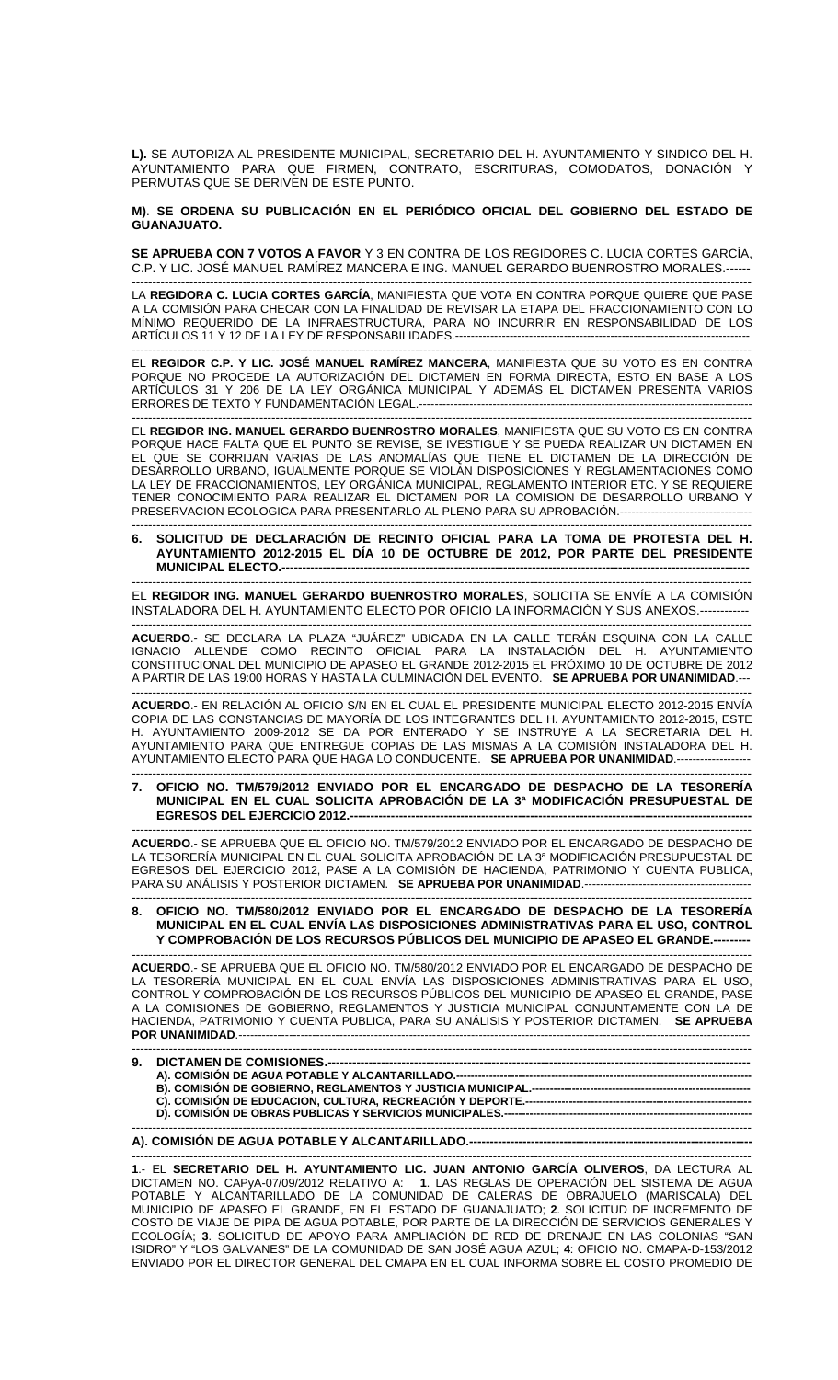**L).** SE AUTORIZA AL PRESIDENTE MUNICIPAL, SECRETARIO DEL H. AYUNTAMIENTO Y SINDICO DEL H. AYUNTAMIENTO PARA QUE FIRMEN, CONTRATO, ESCRITURAS, COMODATOS, DONACIÓN Y PERMUTAS QUE SE DERIVEN DE ESTE PUNTO.

**M)**. **SE ORDENA SU PUBLICACIÓN EN EL PERIÓDICO OFICIAL DEL GOBIERNO DEL ESTADO DE GUANAJUATO.**

**SE APRUEBA CON 7 VOTOS A FAVOR** Y 3 EN CONTRA DE LOS REGIDORES C. LUCIA CORTES GARCÍA, C.P. Y LIC. JOSÉ MANUEL RAMÍREZ MANCERA E ING. MANUEL GERARDO BUENROSTRO MORALES.------

------------------------------------------------------------------------------------------------------------------------------------------------------- LA **REGIDORA C. LUCIA CORTES GARCÍA**, MANIFIESTA QUE VOTA EN CONTRA PORQUE QUIERE QUE PASE A LA COMISIÓN PARA CHECAR CON LA FINALIDAD DE REVISAR LA ETAPA DEL FRACCIONAMIENTO CON LO MÍNIMO REQUERIDO DE LA INFRAESTRUCTURA, PARA NO INCURRIR EN RESPONSABILIDAD DE LOS ARTÍCULOS 11 Y 12 DE LA LEY DE RESPONSABILIDADES.----------------------------------------------------------------------------

------------------------------------------------------------------------------------------------------------------------------------------------------- EL **REGIDOR C.P. Y LIC. JOSÉ MANUEL RAMÍREZ MANCERA**, MANIFIESTA QUE SU VOTO ES EN CONTRA PORQUE NO PROCEDE LA AUTORIZACIÓN DEL DICTAMEN EN FORMA DIRECTA, ESTO EN BASE A LOS ARTÍCULOS 31 Y 206 DE LA LEY ORGÁNICA MUNICIPAL Y ADEMÁS EL DICTAMEN PRESENTA VARIOS ERRORES DE TEXTO Y FUNDAMENTACIÓN LEGAL.--------------------------------------------------------------------------------------

------------------------------------------------------------------------------------------------------------------------------------------------------- EL **REGIDOR ING. MANUEL GERARDO BUENROSTRO MORALES**, MANIFIESTA QUE SU VOTO ES EN CONTRA PORQUE HACE FALTA QUE EL PUNTO SE REVISE, SE IVESTIGUE Y SE PUEDA REALIZAR UN DICTAMEN EN EL QUE SE CORRIJAN VARIAS DE LAS ANOMALÍAS QUE TIENE EL DICTAMEN DE LA DIRECCIÓN DE DESARROLLO URBANO, IGUALMENTE PORQUE SE VIOLAN DISPOSICIONES Y REGLAMENTACIONES COMO LA LEY DE FRACCIONAMIENTOS, LEY ORGÁNICA MUNICIPAL, REGLAMENTO INTERIOR ETC. Y SE REQUIERE TENER CONOCIMIENTO PARA REALIZAR EL DICTAMEN POR LA COMISION DE DESARROLLO URBANO Y PRESERVACION ECOLOGICA PARA PRESENTARLO AL PLENO PARA SU APROBACIÓN.-----------------------------------------------------------------------------------------------------------------------------------------------------------------------

**6. SOLICITUD DE DECLARACIÓN DE RECINTO OFICIAL PARA LA TOMA DE PROTESTA DEL H. AYUNTAMIENTO 2012-2015 EL DÍA 10 DE OCTUBRE DE 2012, POR PARTE DEL PRESIDENTE MUNICIPAL ELECTO.----**

------------------------------------------------------------------------------------------------------------------------------------------------------- EL **REGIDOR ING. MANUEL GERARDO BUENROSTRO MORALES**, SOLICITA SE ENVÍE A LA COMISIÓN INSTALADORA DEL H. AYUNTAMIENTO ELECTO POR OFICIO LA INFORMACIÓN Y SUS ANEXOS.------------

------------------------------------------------------------------------------------------------------------------------------------------------------- **ACUERDO**.- SE DECLARA LA PLAZA "JUÁREZ" UBICADA EN LA CALLE TERÁN ESQUINA CON LA CALLE IGNACIO ALLENDE COMO RECINTO OFICIAL PARA LA INSTALACIÓN DEL H. AYUNTAMIENTO CONSTITUCIONAL DEL MUNICIPIO DE APASEO EL GRANDE 2012-2015 EL PRÓXIMO 10 DE OCTUBRE DE 2012 A PARTIR DE LAS 19:00 HORAS Y HASTA LA CULMINACIÓN DEL EVENTO. **SE APRUEBA POR UNANIMIDAD**.---

------------------------------------------------------------------------------------------------------------------------------------------------------- **ACUERDO**.- EN RELACIÓN AL OFICIO S/N EN EL CUAL EL PRESIDENTE MUNICIPAL ELECTO 2012-2015 ENVÍA COPIA DE LAS CONSTANCIAS DE MAYORÍA DE LOS INTEGRANTES DEL H. AYUNTAMIENTO 2012-2015, ESTE H. AYUNTAMIENTO 2009-2012 SE DA POR ENTERADO Y SE INSTRUYE A LA SECRETARIA DEL H. AYUNTAMIENTO PARA QUE ENTREGUE COPIAS DE LAS MISMAS A LA COMISIÓN INSTALADORA DEL H. AYUNTAMIENTO ELECTO PARA QUE HAGA LO CONDUCENTE. **SE APRUEBA POR UNANIMIDAD**.-------------------

------------------------------------------------------------------------------------------------------------------------------------------------------- **7. OFICIO NO. TM/579/2012 ENVIADO POR EL ENCARGADO DE DESPACHO DE LA TESORERÍA MUNICIPAL EN EL CUAL SOLICITA APROBACIÓN DE LA 3ª MODIFICACIÓN PRESUPUESTAL DE EGRESOS DEL EJERCICIO 2012.--**

------------------------------------------------------------------------------------------------------------------------------------------------------- **ACUERDO**.- SE APRUEBA QUE EL OFICIO NO. TM/579/2012 ENVIADO POR EL ENCARGADO DE DESPACHO DE LA TESORERÍA MUNICIPAL EN EL CUAL SOLICITA APROBACIÓN DE LA 3ª MODIFICACIÓN PRESUPUESTAL DE EGRESOS DEL EJERCICIO 2012, PASE A LA COMISIÓN DE HACIENDA, PATRIMONIO Y CUENTA PUBLICA, PARA SU ANÁLISIS Y POSTERIOR DICTAMEN. **SE APRUEBA POR UNANIMIDAD**.-------------------------------------------

------------------------------------------------------------------------------------------------------------------------------------------------------- **8. OFICIO NO. TM/580/2012 ENVIADO POR EL ENCARGADO DE DESPACHO DE LA TESORERÍA MUNICIPAL EN EL CUAL ENVÍA LAS DISPOSICIONES ADMINISTRATIVAS PARA EL USO, CONTROL**  Y COMPROBACIÓN DE LOS RECURSOS PÚBLICOS DEL MUNICIPIO DE APASEO EL GRANDE.--

------------------------------------------------------------------------------------------------------------------------------------------------------- **ACUERDO**.- SE APRUEBA QUE EL OFICIO NO. TM/580/2012 ENVIADO POR EL ENCARGADO DE DESPACHO DE LA TESORERÍA MUNICIPAL EN EL CUAL ENVÍA LAS DISPOSICIONES ADMINISTRATIVAS PARA EL USO, CONTROL Y COMPROBACIÓN DE LOS RECURSOS PÚBLICOS DEL MUNICIPIO DE APASEO EL GRANDE, PASE A LA COMISIONES DE GOBIERNO, REGLAMENTOS Y JUSTICIA MUNICIPAL CONJUNTAMENTE CON LA DE HACIENDA, PATRIMONIO Y CUENTA PUBLICA, PARA SU ANÁLISIS Y POSTERIOR DICTAMEN. **SE APRUEBA POR UNANIMIDAD.----**

| 4 EL <b>CECDETADIO DEL LI AVIINTAMIENTO LIC JUAN ANTONIO CADCÍA OLIVEDOS</b> DA LECTUDA AL |
|--------------------------------------------------------------------------------------------|

**1**.- EL **SECRETARIO DEL H. AYUNTAMIENTO LIC. JUAN ANTONIO GARCÍA OLIVEROS**, DA LECTURA AL DICTAMEN NO. CAPyA-07/09/2012 RELATIVO A: **1**. LAS REGLAS DE OPERACIÓN DEL SISTEMA DE AGUA POTABLE Y ALCANTARILLADO DE LA COMUNIDAD DE CALERAS DE OBRAJUELO (MARISCALA) DEL MUNICIPIO DE APASEO EL GRANDE, EN EL ESTADO DE GUANAJUATO; **2**. SOLICITUD DE INCREMENTO DE COSTO DE VIAJE DE PIPA DE AGUA POTABLE, POR PARTE DE LA DIRECCIÓN DE SERVICIOS GENERALES Y ECOLOGÍA; **3**. SOLICITUD DE APOYO PARA AMPLIACIÓN DE RED DE DRENAJE EN LAS COLONIAS "SAN ISIDRO" Y "LOS GALVANES" DE LA COMUNIDAD DE SAN JOSÉ AGUA AZUL; **4**: OFICIO NO. CMAPA-D-153/2012 ENVIADO POR EL DIRECTOR GENERAL DEL CMAPA EN EL CUAL INFORMA SOBRE EL COSTO PROMEDIO DE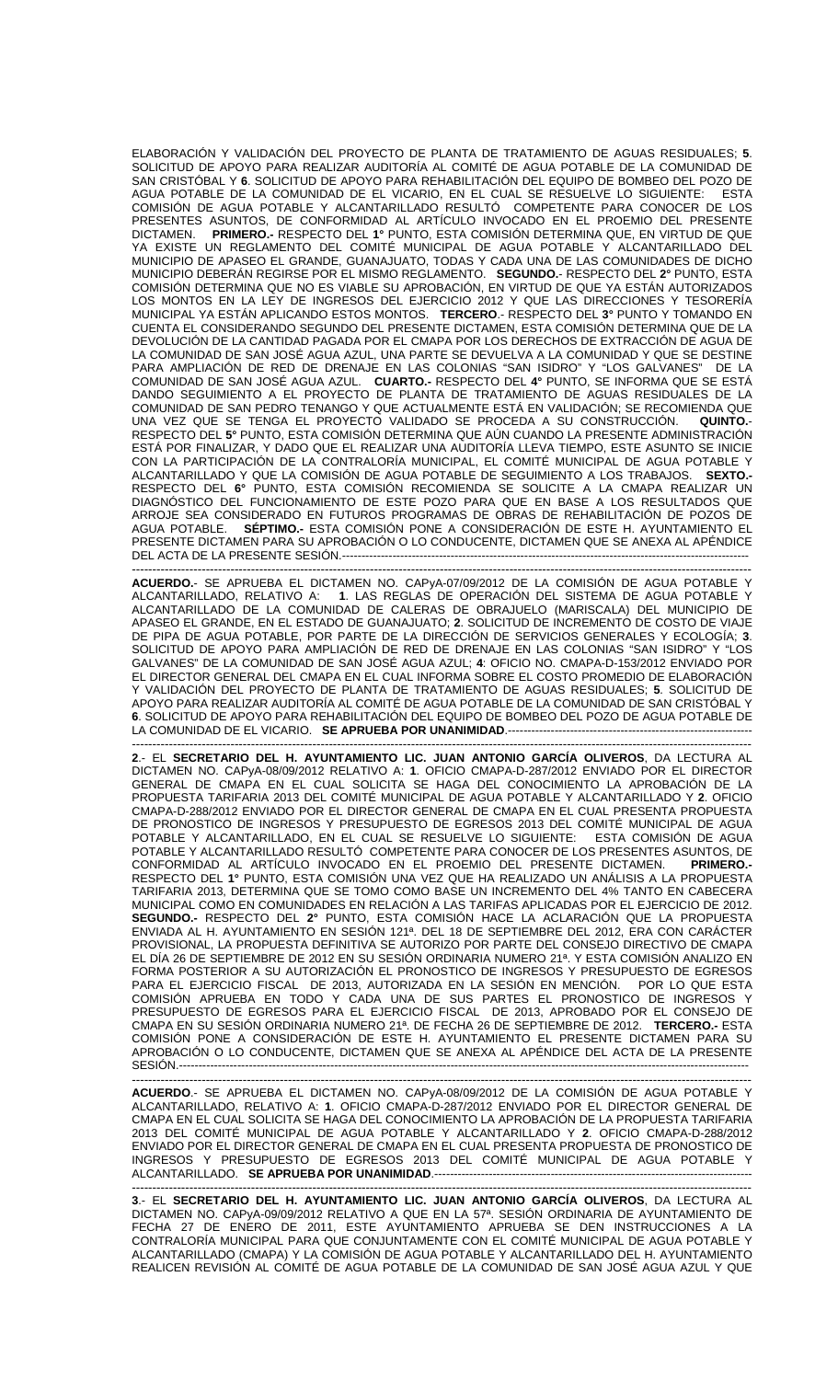ELABORACIÓN Y VALIDACIÓN DEL PROYECTO DE PLANTA DE TRATAMIENTO DE AGUAS RESIDUALES; **5**. SOLICITUD DE APOYO PARA REALIZAR AUDITORÍA AL COMITÉ DE AGUA POTABLE DE LA COMUNIDAD DE SAN CRISTÓBAL Y **6**. SOLICITUD DE APOYO PARA REHABILITACIÓN DEL EQUIPO DE BOMBEO DEL POZO DE AGUA POTABLE DE LA COMUNIDAD DE EL VICARIO, EN EL CUAL SE RESUELVE LO SIGUIENTE: ESTA COMISIÓN DE AGUA POTABLE Y ALCANTARILLADO RESULTÓ COMPETENTE PARA CONOCER DE LOS PRESENTES ASUNTOS, DE CONFORMIDAD AL ARTÍCULO INVOCADO EN EL PROEMIO DEL PRESENTE<br>DICTAMEN. PRIMERO - RESPECTO DEL 1º PUNTO. ESTA COMISIÓN DETERMINA QUE. EN VIRTUD DE QUE PRIMERO.- RESPECTO DEL 1° PUNTO, ESTA COMISIÓN DETERMINA QUE, EN VIRTUD DE QUE YA EXISTE UN REGLAMENTO DEL COMITÉ MUNICIPAL DE AGUA POTABLE Y ALCANTARILLADO DEL MUNICIPIO DE APASEO EL GRANDE, GUANAJUATO, TODAS Y CADA UNA DE LAS COMUNIDADES DE DICHO MUNICIPIO DEBERÁN REGIRSE POR EL MISMO REGLAMENTO. **SEGUNDO.**- RESPECTO DEL **2°** PUNTO, ESTA COMISIÓN DETERMINA QUE NO ES VIABLE SU APROBACIÓN, EN VIRTUD DE QUE YA ESTÁN AUTORIZADOS LOS MONTOS EN LA LEY DE INGRESOS DEL EJERCICIO 2012 Y QUE LAS DIRECCIONES Y TESORERÍA MUNICIPAL YA ESTÁN APLICANDO ESTOS MONTOS. **TERCERO**.- RESPECTO DEL **3°** PUNTO Y TOMANDO EN CUENTA EL CONSIDERANDO SEGUNDO DEL PRESENTE DICTAMEN, ESTA COMISIÓN DETERMINA QUE DE LA DEVOLUCIÓN DE LA CANTIDAD PAGADA POR EL CMAPA POR LOS DERECHOS DE EXTRACCIÓN DE AGUA DE LA COMUNIDAD DE SAN JOSÉ AGUA AZUL, UNA PARTE SE DEVUELVA A LA COMUNIDAD Y QUE SE DESTINE PARA AMPLIACIÓN DE RED DE DRENAJE EN LAS COLONIAS "SAN ISIDRO" Y "LOS GALVANES" DE LA COMUNIDAD DE SAN JOSÉ AGUA AZUL. **CUARTO.-** RESPECTO DEL **4°** PUNTO, SE INFORMA QUE SE ESTÁ DANDO SEGUIMIENTO A EL PROYECTO DE PLANTA DE TRATAMIENTO DE AGUAS RESIDUALES DE LA COMUNIDAD DE SAN PEDRO TENANGO Y QUE ACTUALMENTE ESTÁ EN VALIDACIÓN; SE RECOMIENDA QUE UNA VEZ QUE SE TENGA EL PROYECTO VALIDADO SE PROCEDA A SU CONSTRUCCIÓN. **QUINTO.**- RESPECTO DEL **5°** PUNTO, ESTA COMISIÓN DETERMINA QUE AÚN CUANDO LA PRESENTE ADMINISTRACIÓN ESTÁ POR FINALIZAR, Y DADO QUE EL REALIZAR UNA AUDITORÍA LLEVA TIEMPO, ESTE ASUNTO SE INICIE CON LA PARTICIPACIÓN DE LA CONTRALORÍA MUNICIPAL, EL COMITÉ MUNICIPAL DE AGUA POTABLE Y ALCANTARILLADO Y QUE LA COMISIÓN DE AGUA POTABLE DE SEGUIMIENTO A LOS TRABAJOS. **SEXTO.-** RESPECTO DEL **6°** PUNTO, ESTA COMISIÓN RECOMIENDA SE SOLICITE A LA CMAPA REALIZAR UN DIAGNÓSTICO DEL FUNCIONAMIENTO DE ESTE POZO PARA QUE EN BASE A LOS RESULTADOS QUE ARROJE SEA CONSIDERADO EN FUTUROS PROGRAMAS DE OBRAS DE REHABILITACIÓN DE POZOS DE AGUA POTABLE. **SÉPTIMO.-** ESTA COMISIÓN PONE A CONSIDERACIÓN DE ESTE H. AYUNTAMIENTO EL PRESENTE DICTAMEN PARA SU APROBACIÓN O LO CONDUCENTE, DICTAMEN QUE SE ANEXA AL APÉNDICE DEL ACTA DE LA PRESENTE SESIÓN.---

------------------------------------------------------------------------------------------------------------------------------------------------------- **ACUERDO.**- SE APRUEBA EL DICTAMEN NO. CAPyA-07/09/2012 DE LA COMISIÓN DE AGUA POTABLE Y ALCANTARILLADO, RELATIVO A: **1**. LAS REGLAS DE OPERACIÓN DEL SISTEMA DE AGUA POTABLE Y ALCANTARILLADO DE LA COMUNIDAD DE CALERAS DE OBRAJUELO (MARISCALA) DEL MUNICIPIO DE APASEO EL GRANDE, EN EL ESTADO DE GUANAJUATO; **2**. SOLICITUD DE INCREMENTO DE COSTO DE VIAJE DE PIPA DE AGUA POTABLE, POR PARTE DE LA DIRECCIÓN DE SERVICIOS GENERALES Y ECOLOGÍA; **3**. SOLICITUD DE APOYO PARA AMPLIACIÓN DE RED DE DRENAJE EN LAS COLONIAS "SAN ISIDRO" Y "LOS GALVANES" DE LA COMUNIDAD DE SAN JOSÉ AGUA AZUL; **4**: OFICIO NO. CMAPA-D-153/2012 ENVIADO POR EL DIRECTOR GENERAL DEL CMAPA EN EL CUAL INFORMA SOBRE EL COSTO PROMEDIO DE ELABORACIÓN Y VALIDACIÓN DEL PROYECTO DE PLANTA DE TRATAMIENTO DE AGUAS RESIDUALES; **5**. SOLICITUD DE APOYO PARA REALIZAR AUDITORÍA AL COMITÉ DE AGUA POTABLE DE LA COMUNIDAD DE SAN CRISTÓBAL Y **6**. SOLICITUD DE APOYO PARA REHABILITACIÓN DEL EQUIPO DE BOMBEO DEL POZO DE AGUA POTABLE DE LA COMUNIDAD DE EL VICARIO. SE APRUEBA POR UNANIMIDAD.---

------------------------------------------------------------------------------------------------------------------------------------------------------- **2**.- EL **SECRETARIO DEL H. AYUNTAMIENTO LIC. JUAN ANTONIO GARCÍA OLIVEROS**, DA LECTURA AL DICTAMEN NO. CAPyA-08/09/2012 RELATIVO A: **1**. OFICIO CMAPA-D-287/2012 ENVIADO POR EL DIRECTOR GENERAL DE CMAPA EN EL CUAL SOLICITA SE HAGA DEL CONOCIMIENTO LA APROBACIÓN DE LA PROPUESTA TARIFARIA 2013 DEL COMITÉ MUNICIPAL DE AGUA POTABLE Y ALCANTARILLADO Y **2**. OFICIO CMAPA-D-288/2012 ENVIADO POR EL DIRECTOR GENERAL DE CMAPA EN EL CUAL PRESENTA PROPUESTA DE PRONOSTICO DE INGRESOS Y PRESUPUESTO DE EGRESOS 2013 DEL COMITÉ MUNICIPAL DE AGUA POTABLE Y ALCANTARILLADO, EN EL CUAL SE RESUELVE LO SIGUIENTE: ESTA COMISIÓN DE AGUA POTABLE Y ALCANTARILLADO RESULTÓ COMPETENTE PARA CONOCER DE LOS PRESENTES ASUNTOS, DE CONFORMIDAD AL ARTÍCULO INVOCADO EN EL PROEMIO DEL PRESENTE DICTAMEN. **PRIMERO.-**  RESPECTO DEL **1°** PUNTO, ESTA COMISIÓN UNA VEZ QUE HA REALIZADO UN ANÁLISIS A LA PROPUESTA TARIFARIA 2013, DETERMINA QUE SE TOMO COMO BASE UN INCREMENTO DEL 4% TANTO EN CABECERA MUNICIPAL COMO EN COMUNIDADES EN RELACIÓN A LAS TARIFAS APLICADAS POR EL EJERCICIO DE 2012. **SEGUNDO.-** RESPECTO DEL **2°** PUNTO, ESTA COMISIÓN HACE LA ACLARACIÓN QUE LA PROPUESTA ENVIADA AL H. AYUNTAMIENTO EN SESIÓN 121ª. DEL 18 DE SEPTIEMBRE DEL 2012, ERA CON CARÁCTER PROVISIONAL, LA PROPUESTA DEFINITIVA SE AUTORIZO POR PARTE DEL CONSEJO DIRECTIVO DE CMAPA EL DÍA 26 DE SEPTIEMBRE DE 2012 EN SU SESIÓN ORDINARIA NUMERO 21ª. Y ESTA COMISIÓN ANALIZO EN FORMA POSTERIOR A SU AUTORIZACIÓN EL PRONOSTICO DE INGRESOS Y PRESUPUESTO DE EGRESOS PARA EL EJERCICIO FISCAL DE 2013, AUTORIZADA EN LA SESIÓN EN MENCIÓN. POR LO QUE ESTA COMISIÓN APRUEBA EN TODO Y CADA UNA DE SUS PARTES EL PRONOSTICO DE INGRESOS Y PRESUPUESTO DE EGRESOS PARA EL EJERCICIO FISCAL DE 2013, APROBADO POR EL CONSEJO DE CMAPA EN SU SESIÓN ORDINARIA NUMERO 21ª. DE FECHA 26 DE SEPTIEMBRE DE 2012. **TERCERO.-** ESTA COMISIÓN PONE A CONSIDERACIÓN DE ESTE H. AYUNTAMIENTO EL PRESENTE DICTAMEN PARA SU APROBACIÓN O LO CONDUCENTE, DICTAMEN QUE SE ANEXA AL APÉNDICE DEL ACTA DE LA PRESENTE SESIÓN.---------------------------------------------------------------------------------------------------------------------------------------------------

------------------------------------------------------------------------------------------------------------------------------------------------------- **ACUERDO**.- SE APRUEBA EL DICTAMEN NO. CAPyA-08/09/2012 DE LA COMISIÓN DE AGUA POTABLE Y ALCANTARILLADO, RELATIVO A: **1**. OFICIO CMAPA-D-287/2012 ENVIADO POR EL DIRECTOR GENERAL DE CMAPA EN EL CUAL SOLICITA SE HAGA DEL CONOCIMIENTO LA APROBACIÓN DE LA PROPUESTA TARIFARIA 2013 DEL COMITÉ MUNICIPAL DE AGUA POTABLE Y ALCANTARILLADO Y **2**. OFICIO CMAPA-D-288/2012 ENVIADO POR EL DIRECTOR GENERAL DE CMAPA EN EL CUAL PRESENTA PROPUESTA DE PRONOSTICO DE INGRESOS Y PRESUPUESTO DE EGRESOS 2013 DEL COMITÉ MUNICIPAL DE AGUA POTABLE Y ALCANTARILLADO. **SE APRUEBA POR UNANIMIDAD.---**-------------------------------------------------------------------------------------------------------------------------------------------------------

**3**.- EL **SECRETARIO DEL H. AYUNTAMIENTO LIC. JUAN ANTONIO GARCÍA OLIVEROS**, DA LECTURA AL DICTAMEN NO. CAPyA-09/09/2012 RELATIVO A QUE EN LA 57ª. SESIÓN ORDINARIA DE AYUNTAMIENTO DE FECHA 27 DE ENERO DE 2011, ESTE AYUNTAMIENTO APRUEBA SE DEN INSTRUCCIONES A LA CONTRALORÍA MUNICIPAL PARA QUE CONJUNTAMENTE CON EL COMITÉ MUNICIPAL DE AGUA POTABLE Y ALCANTARILLADO (CMAPA) Y LA COMISIÓN DE AGUA POTABLE Y ALCANTARILLADO DEL H. AYUNTAMIENTO REALICEN REVISIÓN AL COMITÉ DE AGUA POTABLE DE LA COMUNIDAD DE SAN JOSÉ AGUA AZUL Y QUE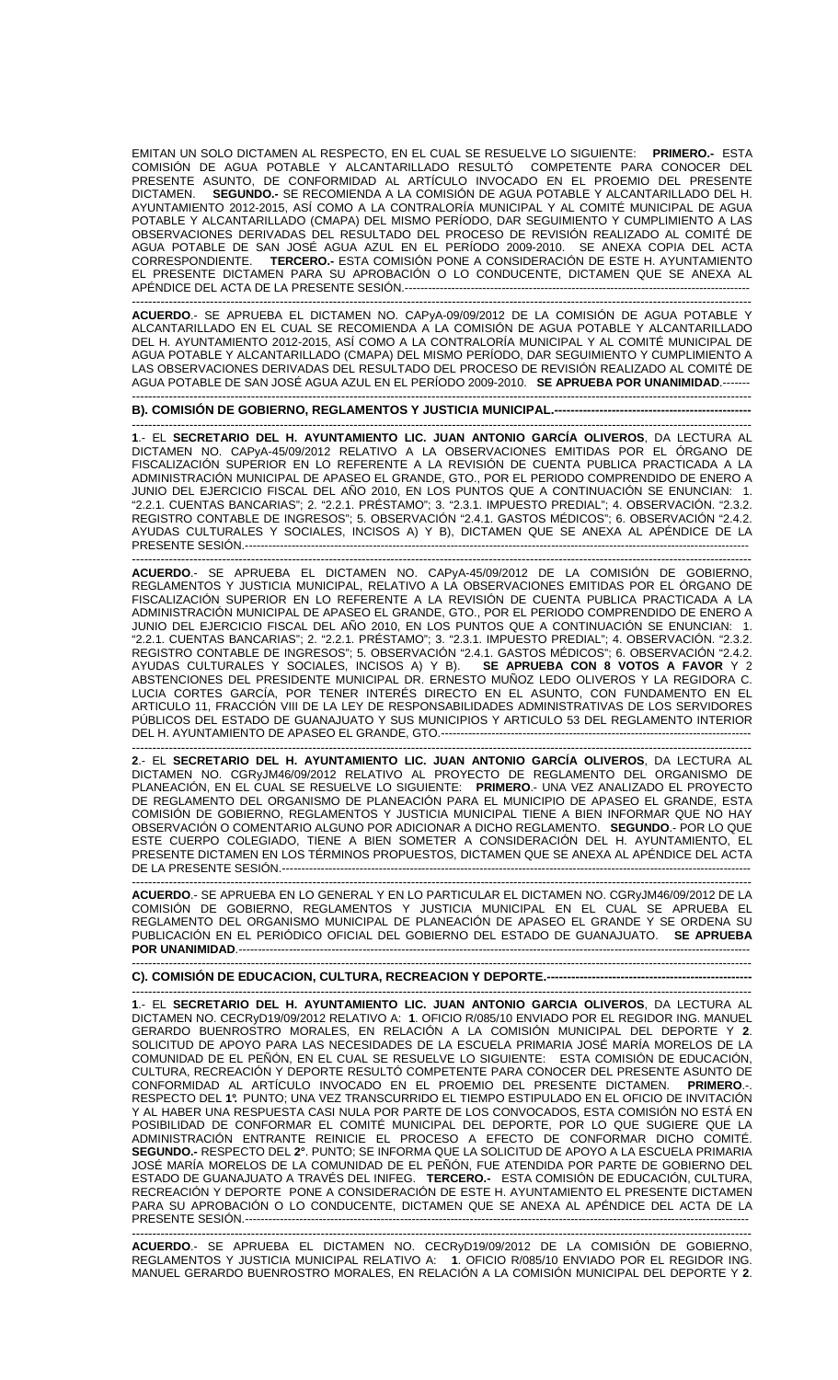EMITAN UN SOLO DICTAMEN AL RESPECTO, EN EL CUAL SE RESUELVE LO SIGUIENTE: **PRIMERO.-** ESTA COMISIÓN DE AGUA POTABLE Y ALCANTARILLADO RESULTÓ COMPETENTE PARA CONOCER DEL PRESENTE ASUNTO, DE CONFORMIDAD AL ARTÍCULO INVOCADO EN EL PROEMIO DEL PRESENTE DICTAMEN. **SEGUNDO.-** SE RECOMIENDA A LA COMISIÓN DE AGUA POTABLE Y ALCANTARILLADO DEL H. AYUNTAMIENTO 2012-2015, ASÍ COMO A LA CONTRALORÍA MUNICIPAL Y AL COMITÉ MUNICIPAL DE AGUA POTABLE Y ALCANTARILLADO (CMAPA) DEL MISMO PERÍODO, DAR SEGUIMIENTO Y CUMPLIMIENTO A LAS OBSERVACIONES DERIVADAS DEL RESULTADO DEL PROCESO DE REVISIÓN REALIZADO AL COMITÉ DE AGUA POTABLE DE SAN JOSÉ AGUA AZUL EN EL PERÍODO 2009-2010. SE ANEXA COPIA DEL ACTA CORRESPONDIENTE. **TERCERO.-** ESTA COMISIÓN PONE A CONSIDERACIÓN DE ESTE H. AYUNTAMIENTO EL PRESENTE DICTAMEN PARA SU APROBACIÓN O LO CONDUCENTE, DICTAMEN QUE SE ANEXA AL APÉNDICE DEL ACTA DE LA PRESENTE SESIÓN.------------------

------------------------------------------------------------------------------------------------------------------------------------------------------- **ACUERDO**.- SE APRUEBA EL DICTAMEN NO. CAPyA-09/09/2012 DE LA COMISIÓN DE AGUA POTABLE Y ALCANTARILLADO EN EL CUAL SE RECOMIENDA A LA COMISIÓN DE AGUA POTABLE Y ALCANTARILLADO DEL H. AYUNTAMIENTO 2012-2015, ASÍ COMO A LA CONTRALORÍA MUNICIPAL Y AL COMITÉ MUNICIPAL DE AGUA POTABLE Y ALCANTARILLADO (CMAPA) DEL MISMO PERÍODO, DAR SEGUIMIENTO Y CUMPLIMIENTO A LAS OBSERVACIONES DERIVADAS DEL RESULTADO DEL PROCESO DE REVISIÓN REALIZADO AL COMITÉ DE AGUA POTABLE DE SAN JOSÉ AGUA AZUL EN EL PERÍODO 2009-2010. **SE APRUEBA POR UNANIMIDAD**.------- -------------------------------------------------------------------------------------------------------------------------------------------------------

**B). COMISIÓN DE GOBIERNO, REGLAMENTOS Y JUSTICIA MUNICIPAL.---**

------------------------------------------------------------------------------------------------------------------------------------------------------- **1**.- EL **SECRETARIO DEL H. AYUNTAMIENTO LIC. JUAN ANTONIO GARCÍA OLIVEROS**, DA LECTURA AL DICTAMEN NO. CAPyA-45/09/2012 RELATIVO A LA OBSERVACIONES EMITIDAS POR EL ÓRGANO DE FISCALIZACIÓN SUPERIOR EN LO REFERENTE A LA REVISIÓN DE CUENTA PUBLICA PRACTICADA A LA ADMINISTRACIÓN MUNICIPAL DE APASEO EL GRANDE, GTO., POR EL PERIODO COMPRENDIDO DE ENERO A JUNIO DEL EJERCICIO FISCAL DEL AÑO 2010, EN LOS PUNTOS QUE A CONTINUACIÓN SE ENUNCIAN: 1. "2.2.1. CUENTAS BANCARIAS"; 2. "2.2.1. PRÉSTAMO"; 3. "2.3.1. IMPUESTO PREDIAL"; 4. OBSERVACIÓN. "2.3.2. REGISTRO CONTABLE DE INGRESOS"; 5. OBSERVACIÓN "2.4.1. GASTOS MÉDICOS"; 6. OBSERVACIÓN "2.4.2. AYUDAS CULTURALES Y SOCIALES, INCISOS A) Y B), DICTAMEN QUE SE ANEXA AL APÉNDICE DE LA PRESENTE SESIÓN.---------------------------

------------------------------------------------------------------------------------------------------------------------------------------------------- **ACUERDO**.- SE APRUEBA EL DICTAMEN NO. CAPyA-45/09/2012 DE LA COMISIÓN DE GOBIERNO, REGLAMENTOS Y JUSTICIA MUNICIPAL, RELATIVO A LA OBSERVACIONES EMITIDAS POR EL ÓRGANO DE FISCALIZACIÓN SUPERIOR EN LO REFERENTE A LA REVISIÓN DE CUENTA PUBLICA PRACTICADA A LA ADMINISTRACIÓN MUNICIPAL DE APASEO EL GRANDE, GTO., POR EL PERIODO COMPRENDIDO DE ENERO A JUNIO DEL EJERCICIO FISCAL DEL AÑO 2010, EN LOS PUNTOS QUE A CONTINUACIÓN SE ENUNCIAN: 1. "2.2.1. CUENTAS BANCARIAS"; 2. "2.2.1. PRÉSTAMO"; 3. "2.3.1. IMPUESTO PREDIAL"; 4. OBSERVACIÓN. "2.3.2. REGISTRO CONTABLE DE INGRESOS"; 5. OBSERVACIÓN "2.4.1. GASTOS MÉDICOS"; 6. OBSERVACIÓN "2.4.2. AYUDAS CULTURALES Y SOCIALES, INCISOS A) Y B). **SE APRUEBA CON 8 VOTOS A FAVOR** Y 2 ABSTENCIONES DEL PRESIDENTE MUNICIPAL DR. ERNESTO MUÑOZ LEDO OLIVEROS Y LA REGIDORA C. LUCIA CORTES GARCÍA, POR TENER INTERÉS DIRECTO EN EL ASUNTO, CON FUNDAMENTO EN EL ARTICULO 11, FRACCIÓN VIII DE LA LEY DE RESPONSABILIDADES ADMINISTRATIVAS DE LOS SERVIDORES PÚBLICOS DEL ESTADO DE GUANAJUATO Y SUS MUNICIPIOS Y ARTICULO 53 DEL REGLAMENTO INTERIOR DEL H. AYUNTAMIENTO DE APASEO EL GRANDE, GTO.--------------------------------------------------------------------------------

------------------------------------------------------------------------------------------------------------------------------------------------------- **2**.- EL **SECRETARIO DEL H. AYUNTAMIENTO LIC. JUAN ANTONIO GARCÍA OLIVEROS**, DA LECTURA AL DICTAMEN NO. CGRyJM46/09/2012 RELATIVO AL PROYECTO DE REGLAMENTO DEL ORGANISMO DE PLANEACIÓN, EN EL CUAL SE RESUELVE LO SIGUIENTE: **PRIMERO**.- UNA VEZ ANALIZADO EL PROYECTO DE REGLAMENTO DEL ORGANISMO DE PLANEACIÓN PARA EL MUNICIPIO DE APASEO EL GRANDE, ESTA COMISIÓN DE GOBIERNO, REGLAMENTOS Y JUSTICIA MUNICIPAL TIENE A BIEN INFORMAR QUE NO HAY OBSERVACIÓN O COMENTARIO ALGUNO POR ADICIONAR A DICHO REGLAMENTO. **SEGUNDO**.- POR LO QUE ESTE CUERPO COLEGIADO, TIENE A BIEN SOMETER A CONSIDERACIÓN DEL H. AYUNTAMIENTO, EL PRESENTE DICTAMEN EN LOS TÉRMINOS PROPUESTOS, DICTAMEN QUE SE ANEXA AL APÉNDICE DEL ACTA DE LA PRESENTE SESIÓN.-------------------------------------------------------------------------------------------------------------------------

------------------------------------------------------------------------------------------------------------------------------------------------------- **ACUERDO**.- SE APRUEBA EN LO GENERAL Y EN LO PARTICULAR EL DICTAMEN NO. CGRyJM46/09/2012 DE LA COMISIÓN DE GOBIERNO, REGLAMENTOS Y JUSTICIA MUNICIPAL EN EL CUAL SE APRUEBA EL REGLAMENTO DEL ORGANISMO MUNICIPAL DE PLANEACION DE APASEO EL GRANDE Y SE ORDENA SU PUBLICACIÓN EN EL PERIÓDICO OFICIAL DEL GOBIERNO DEL ESTADO DE GUANAJUATO. **SE APRUEBA POR UNANIMIDAD.---**

------------------------------------------------------------------------------------------------------------------------------------------------------- **C). COMISIÓN DE EDUCACION, CULTURA, RECREACION Y DEPORTE.--**

------------------------------------------------------------------------------------------------------------------------------------------------------- **1**.- EL **SECRETARIO DEL H. AYUNTAMIENTO LIC. JUAN ANTONIO GARCIA OLIVEROS**, DA LECTURA AL DICTAMEN NO. CECRyD19/09/2012 RELATIVO A: **1**. OFICIO R/085/10 ENVIADO POR EL REGIDOR ING. MANUEL GERARDO BUENROSTRO MORALES, EN RELACIÓN A LA COMISIÓN MUNICIPAL DEL DEPORTE Y **2**. SOLICITUD DE APOYO PARA LAS NECESIDADES DE LA ESCUELA PRIMARIA JOSÉ MARÍA MORELOS DE LA COMUNIDAD DE EL PEÑÓN, EN EL CUAL SE RESUELVE LO SIGUIENTE: ESTA COMISIÓN DE EDUCACIÓN, CULTURA, RECREACIÓN Y DEPORTE RESULTÓ COMPETENTE PARA CONOCER DEL PRESENTE ASUNTO DE<br>CONFORMIDAD AL ARTÍCULO INVOCADO EN EL PROEMIO DEL PRESENTE DICTAMEN. PRIMERO. CONFORMIDAD AL ARTÍCULO INVOCADO EN EL PROEMIO DEL PRESENTE DICTAMEN. **PRIMERO**.-. RESPECTO DEL **1°.** PUNTO; UNA VEZ TRANSCURRIDO EL TIEMPO ESTIPULADO EN EL OFICIO DE INVITACIÓN Y AL HABER UNA RESPUESTA CASI NULA POR PARTE DE LOS CONVOCADOS, ESTA COMISIÓN NO ESTÁ EN POSIBILIDAD DE CONFORMAR EL COMITÉ MUNICIPAL DEL DEPORTE, POR LO QUE SUGIERE QUE LA ADMINISTRACIÓN ENTRANTE REINICIE EL PROCESO A EFECTO DE CONFORMAR DICHO COMITÉ. **SEGUNDO.-** RESPECTO DEL **2°**. PUNTO; SE INFORMA QUE LA SOLICITUD DE APOYO A LA ESCUELA PRIMARIA JOSÉ MARÍA MORELOS DE LA COMUNIDAD DE EL PEÑÓN, FUE ATENDIDA POR PARTE DE GOBIERNO DEL ESTADO DE GUANAJUATO A TRAVÉS DEL INIFEG. **TERCERO.-** ESTA COMISIÓN DE EDUCACIÓN, CULTURA, RECREACIÓN Y DEPORTE PONE A CONSIDERACIÓN DE ESTE H. AYUNTAMIENTO EL PRESENTE DICTAMEN PARA SU APROBACIÓN O LO CONDUCENTE, DICTAMEN QUE SE ANEXA AL APÉNDICE DEL ACTA DE LA PRESENTE SESIÓN.---

------------------------------------------------------------------------------------------------------------------------------------------------------- **ACUERDO**.- SE APRUEBA EL DICTAMEN NO. CECRyD19/09/2012 DE LA COMISIÓN DE GOBIERNO, REGLAMENTOS Y JUSTICIA MUNICIPAL RELATIVO A: **1**. OFICIO R/085/10 ENVIADO POR EL REGIDOR ING. MANUEL GERARDO BUENROSTRO MORALES, EN RELACIÓN A LA COMISIÓN MUNICIPAL DEL DEPORTE Y **2**.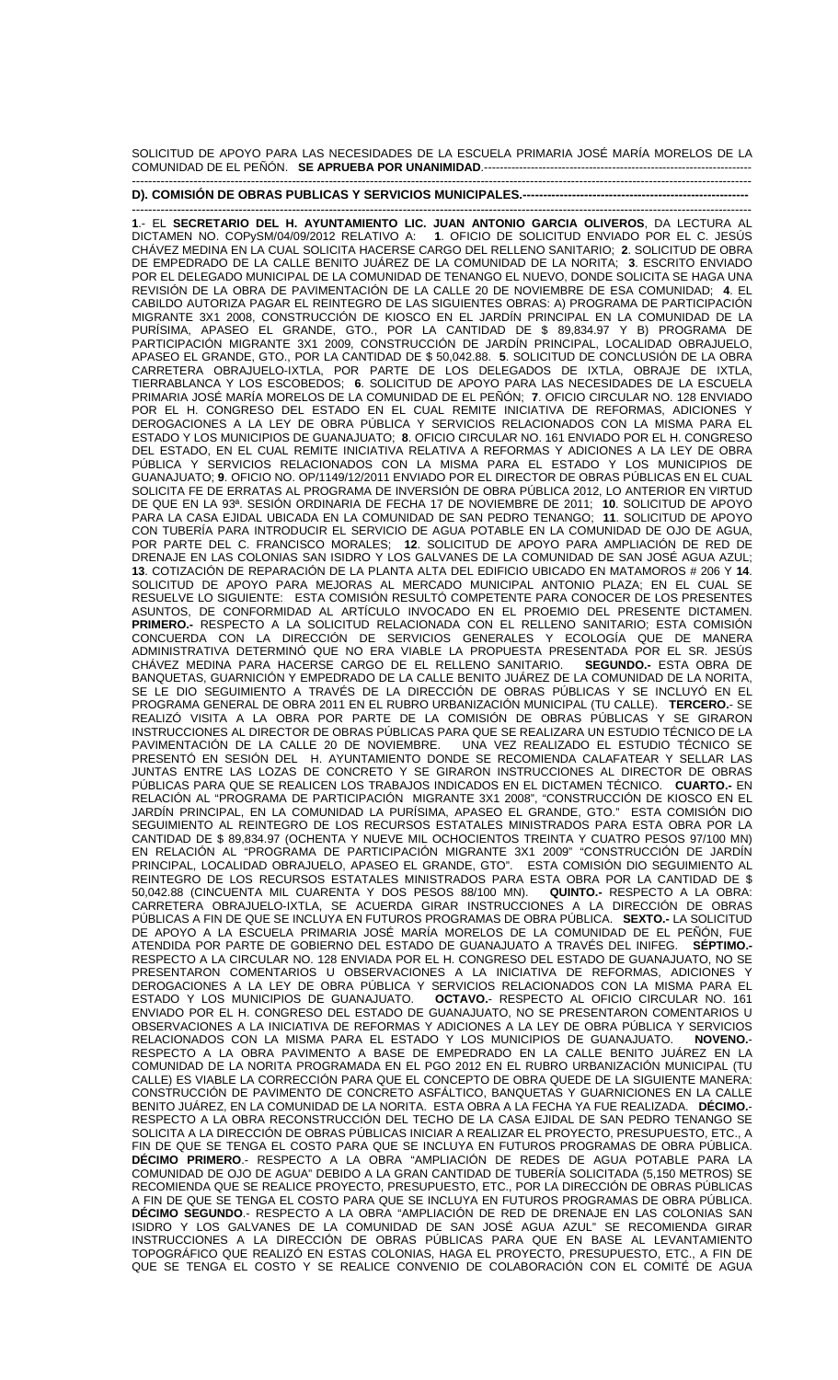SOLICITUD DE APOYO PARA LAS NECESIDADES DE LA ESCUELA PRIMARIA JOSÉ MARÍA MORELOS DE LA COMUNIDAD DE EL PEÑÓN. **SE APRUEBA POR UNANIMIDAD**.--------------------------------------------------------------------- -------------------------------------------------------------------------------------------------------------------------------------------------------

**D). COMISIÓN DE OBRAS PUBLICAS Y SERVICIOS MUNICIPALES.--**

------------------------------------------------------------------------------------------------------------------------------------------------------- **1**.- EL **SECRETARIO DEL H. AYUNTAMIENTO LIC. JUAN ANTONIO GARCIA OLIVEROS**, DA LECTURA AL DICTAMEN NO. COPySM/04/09/2012 RELATIVO A: **1**. OFICIO DE SOLICITUD ENVIADO POR EL C. JESÚS CHÁVEZ MEDINA EN LA CUAL SOLICITA HACERSE CARGO DEL RELLENO SANITARIO; **2**. SOLICITUD DE OBRA DE EMPEDRADO DE LA CALLE BENITO JUÁREZ DE LA COMUNIDAD DE LA NORITA; **3**. ESCRITO ENVIADO POR EL DELEGADO MUNICIPAL DE LA COMUNIDAD DE TENANGO EL NUEVO, DONDE SOLICITA SE HAGA UNA REVISIÓN DE LA OBRA DE PAVIMENTACIÓN DE LA CALLE 20 DE NOVIEMBRE DE ESA COMUNIDAD; **4**. EL CABILDO AUTORIZA PAGAR EL REINTEGRO DE LAS SIGUIENTES OBRAS: A) PROGRAMA DE PARTICIPACIÓN MIGRANTE 3X1 2008, CONSTRUCCIÓN DE KIOSCO EN EL JARDÍN PRINCIPAL EN LA COMUNIDAD DE LA PURÍSIMA, APASEO EL GRANDE, GTO., POR LA CANTIDAD DE \$ 89,834.97 Y B) PROGRAMA DE PARTICIPACIÓN MIGRANTE 3X1 2009, CONSTRUCCIÓN DE JARDÍN PRINCIPAL, LOCALIDAD OBRAJUELO, APASEO EL GRANDE, GTO., POR LA CANTIDAD DE \$ 50,042.88. **5**. SOLICITUD DE CONCLUSIÓN DE LA OBRA CARRETERA OBRAJUELO-IXTLA, POR PARTE DE LOS DELEGADOS DE IXTLA, OBRAJE DE IXTLA, TIERRABLANCA Y LOS ESCOBEDOS; **6**. SOLICITUD DE APOYO PARA LAS NECESIDADES DE LA ESCUELA PRIMARIA JOSÉ MARÍA MORELOS DE LA COMUNIDAD DE EL PEÑÓN; **7**. OFICIO CIRCULAR NO. 128 ENVIADO POR EL H. CONGRESO DEL ESTADO EN EL CUAL REMITE INICIATIVA DE REFORMAS, ADICIONES Y DEROGACIONES A LA LEY DE OBRA PÚBLICA Y SERVICIOS RELACIONADOS CON LA MISMA PARA EL ESTADO Y LOS MUNICIPIOS DE GUANAJUATO; **8**. OFICIO CIRCULAR NO. 161 ENVIADO POR EL H. CONGRESO DEL ESTADO, EN EL CUAL REMITE INICIATIVA RELATIVA A REFORMAS Y ADICIONES A LA LEY DE OBRA PÚBLICA Y SERVICIOS RELACIONADOS CON LA MISMA PARA EL ESTADO Y LOS MUNICIPIOS DE GUANAJUATO; **9**. OFICIO NO. OP/1149/12/2011 ENVIADO POR EL DIRECTOR DE OBRAS PÚBLICAS EN EL CUAL SOLICITA FE DE ERRATAS AL PROGRAMA DE INVERSIÓN DE OBRA PÚBLICA 2012, LO ANTERIOR EN VIRTUD DE QUE EN LA 93ª. SESIÓN ORDINARIA DE FECHA 17 DE NOVIEMBRE DE 2011; **10**. SOLICITUD DE APOYO PARA LA CASA EJIDAL UBICADA EN LA COMUNIDAD DE SAN PEDRO TENANGO; **11**. SOLICITUD DE APOYO CON TUBERÍA PARA INTRODUCIR EL SERVICIO DE AGUA POTABLE EN LA COMUNIDAD DE OJO DE AGUA, POR PARTE DEL C. FRANCISCO MORALES; **12**. SOLICITUD DE APOYO PARA AMPLIACIÓN DE RED DE DRENAJE EN LAS COLONIAS SAN ISIDRO Y LOS GALVANES DE LA COMUNIDAD DE SAN JOSÉ AGUA AZUL; **13**. COTIZACIÓN DE REPARACIÓN DE LA PLANTA ALTA DEL EDIFICIO UBICADO EN MATAMOROS # 206 Y **14**. SOLICITUD DE APOYO PARA MEJORAS AL MERCADO MUNICIPAL ANTONIO PLAZA; EN EL CUAL SE RESUELVE LO SIGUIENTE: ESTA COMISIÓN RESULTÓ COMPETENTE PARA CONOCER DE LOS PRESENTES ASUNTOS, DE CONFORMIDAD AL ARTÍCULO INVOCADO EN EL PROEMIO DEL PRESENTE DICTAMEN. **PRIMERO.-** RESPECTO A LA SOLICITUD RELACIONADA CON EL RELLENO SANITARIO; ESTA COMISIÓN CONCUERDA CON LA DIRECCIÓN DE SERVICIOS GENERALES Y ECOLOGÍA QUE DE MANERA ADMINISTRATIVA DETERMINÓ QUE NO ERA VIABLE LA PROPUESTA PRESENTADA POR EL SR. JESÚS CHÁVEZ MEDINA PARA HACERSE CARGO DE EL RELLENO SANITARIO. **SEGUNDO.-** ESTA OBRA DE BANQUETAS, GUARNICIÓN Y EMPEDRADO DE LA CALLE BENITO JUÁREZ DE LA COMUNIDAD DE LA NORITA, SE LE DIO SEGUIMIENTO A TRAVÉS DE LA DIRECCIÓN DE OBRAS PÚBLICAS Y SE INCLUYÓ EN EL PROGRAMA GENERAL DE OBRA 2011 EN EL RUBRO URBANIZACIÓN MUNICIPAL (TU CALLE). **TERCERO.**- SE REALIZÓ VISITA A LA OBRA POR PARTE DE LA COMISIÓN DE OBRAS PÚBLICAS Y SE GIRARON INSTRUCCIONES AL DIRECTOR DE OBRAS PÚBLICAS PARA QUE SE REALIZARA UN ESTUDIO TÉCNICO DE LA PAVIMENTACIÓN DE LA CALLE 20 DE NOVIEMBRE. UNA VEZ REALIZADO EL ESTUDIO TÉCNICO SE PRESENTÓ EN SESIÓN DEL H. AYUNTAMIENTO DONDE SE RECOMIENDA CALAFATEAR Y SELLAR LAS JUNTAS ENTRE LAS LOZAS DE CONCRETO Y SE GIRARON INSTRUCCIONES AL DIRECTOR DE OBRAS PÚBLICAS PARA QUE SE REALICEN LOS TRABAJOS INDICADOS EN EL DICTAMEN TÉCNICO. **CUARTO.-** EN RELACIÓN AL "PROGRAMA DE PARTICIPACIÓN MIGRANTE 3X1 2008", "CONSTRUCCIÓN DE KIOSCO EN EL JARDÍN PRINCIPAL, EN LA COMUNIDAD LA PURÍSIMA, APASEO EL GRANDE, GTO." ESTA COMISIÓN DIO SEGUIMIENTO AL REINTEGRO DE LOS RECURSOS ESTATALES MINISTRADOS PARA ESTA OBRA POR LA CANTIDAD DE \$ 89,834.97 (OCHENTA Y NUEVE MIL OCHOCIENTOS TREINTA Y CUATRO PESOS 97/100 MN) EN RELACIÓN AL "PROGRAMA DE PARTICIPACIÓN MIGRANTE 3X1 2009" "CONSTRUCCIÓN DE JARDÍN PRINCIPAL, LOCALIDAD OBRAJUELO, APASEO EL GRANDE, GTO". ESTA COMISIÓN DIO SEGUIMIENTO AL REINTEGRO DE LOS RECURSOS ESTATALES MINISTRADOS PARA ESTA OBRA POR LA CANTIDAD DE \$ 50,042.88 (CINCUENTA MIL CUARENTA Y DOS PESOS 88/100 MN). **QUINTO.-** RESPECTO A LA OBRA: CARRETERA OBRAJUELO-IXTLA, SE ACUERDA GIRAR INSTRUCCIONES A LA DIRECCIÓN DE OBRAS PÚBLICAS A FIN DE QUE SE INCLUYA EN FUTUROS PROGRAMAS DE OBRA PÚBLICA. **SEXTO.-** LA SOLICITUD DE APOYO A LA ESCUELA PRIMARIA JOSÉ MARÍA MORELOS DE LA COMUNIDAD DE EL PEÑÓN, FUE ATENDIDA POR PARTE DE GOBIERNO DEL ESTADO DE GUANAJUATO A TRAVÉS DEL INIFEG. **SÉPTIMO.-** RESPECTO A LA CIRCULAR NO. 128 ENVIADA POR EL H. CONGRESO DEL ESTADO DE GUANAJUATO, NO SE PRESENTARON COMENTARIOS U OBSERVACIONES A LA INICIATIVA DE REFORMAS, ADICIONES Y DEROGACIONES A LA LEY DE OBRA PÚBLICA Y SERVICIOS RELACIONADOS CON LA MISMA PARA EL ESTADO Y LOS MUNICIPIOS DE GUANAJUATO. **OCTAVO.** RESPECTO AL OFICIO CIRCULAR NO. 161 OCTAVO.- RESPECTO AL OFICIO CIRCULAR NO. 161 ENVIADO POR EL H. CONGRESO DEL ESTADO DE GUANAJUATO, NO SE PRESENTARON COMENTARIOS U OBSERVACIONES A LA INICIATIVA DE REFORMAS Y ADICIONES A LA LEY DE OBRA PÚBLICA Y SERVICIOS<br>RELACIONADOS CON LA MISMA PARA EL ESTADO Y LOS MUNICIPIOS DE GUANAJUATO. NOVENO.-RELACIONADOS CON LA MISMA PARA EL ESTADO Y LOS MUNICIPIOS DE GUANAJUATO. RESPECTO A LA OBRA PAVIMENTO A BASE DE EMPEDRADO EN LA CALLE BENITO JUÁREZ EN LA COMUNIDAD DE LA NORITA PROGRAMADA EN EL PGO 2012 EN EL RUBRO URBANIZACIÓN MUNICIPAL (TU CALLE) ES VIABLE LA CORRECCIÓN PARA QUE EL CONCEPTO DE OBRA QUEDE DE LA SIGUIENTE MANERA: CONSTRUCCIÓN DE PAVIMENTO DE CONCRETO ASFÁLTICO, BANQUETAS Y GUARNICIONES EN LA CALLE BENITO JUÁREZ, EN LA COMUNIDAD DE LA NORITA. ESTA OBRA A LA FECHA YA FUE REALIZADA. **DÉCIMO.**- RESPECTO A LA OBRA RECONSTRUCCIÓN DEL TECHO DE LA CASA EJIDAL DE SAN PEDRO TENANGO SE SOLICITA A LA DIRECCIÓN DE OBRAS PÚBLICAS INICIAR A REALIZAR EL PROYECTO, PRESUPUESTO, ETC., A FIN DE QUE SE TENGA EL COSTO PARA QUE SE INCLUYA EN FUTUROS PROGRAMAS DE OBRA PÚBLICA. **DÉCIMO PRIMERO**.- RESPECTO A LA OBRA "AMPLIACIÓN DE REDES DE AGUA POTABLE PARA LA COMUNIDAD DE OJO DE AGUA" DEBIDO A LA GRAN CANTIDAD DE TUBERÍA SOLICITADA (5,150 METROS) SE RECOMIENDA QUE SE REALICE PROYECTO, PRESUPUESTO, ETC., POR LA DIRECCIÓN DE OBRAS PÚBLICAS A FIN DE QUE SE TENGA EL COSTO PARA QUE SE INCLUYA EN FUTUROS PROGRAMAS DE OBRA PÚBLICA. **DÉCIMO SEGUNDO**.- RESPECTO A LA OBRA "AMPLIACIÓN DE RED DE DRENAJE EN LAS COLONIAS SAN ISIDRO Y LOS GALVANES DE LA COMUNIDAD DE SAN JOSÉ AGUA AZUL" SE RECOMIENDA GIRAR INSTRUCCIONES A LA DIRECCIÓN DE OBRAS PÚBLICAS PARA QUE EN BASE AL LEVANTAMIENTO TOPOGRÁFICO QUE REALIZÓ EN ESTAS COLONIAS, HAGA EL PROYECTO, PRESUPUESTO, ETC., A FIN DE QUE SE TENGA EL COSTO Y SE REALICE CONVENIO DE COLABORACIÓN CON EL COMITÉ DE AGUA